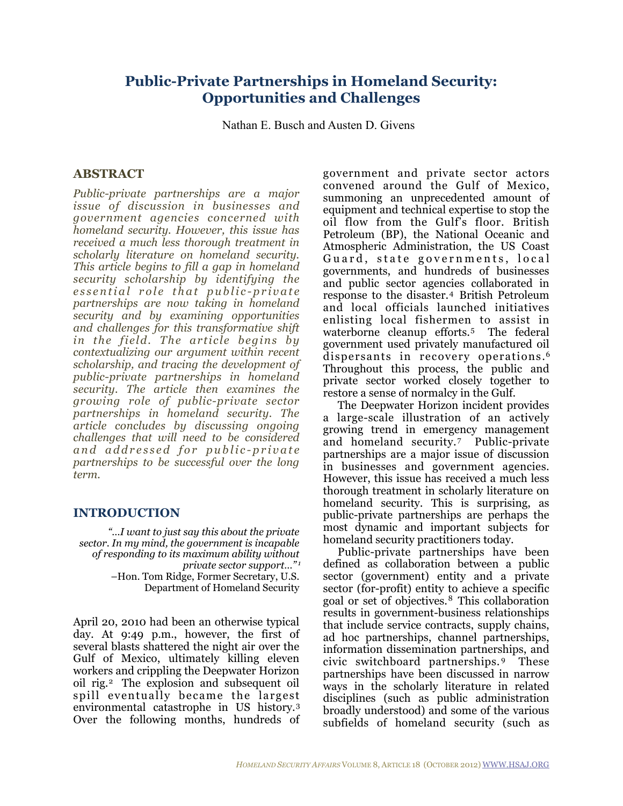# **Public-Private Partnerships in Homeland Security: Opportunities and Challenges**

Nathan E. Busch and Austen D. Givens

# **ABSTRACT**

*Public-private partnerships are a major issue of discussion in businesses and government agencies concerned with homeland security. However, this issue has received a much less thorough treatment in scholarly literature on homeland security. This article begins to fill a gap in homeland security scholarship by identifying the essential role that public-private partnerships are now taking in homeland security and by examining opportunities and challenges for this transformative shift in the field. The article begins by contextualizing our argument within recent scholarship, and tracing the development of public-private partnerships in homeland security. The article then examines the growing role of public-private sector partnerships in homeland security. The article concludes by discussing ongoing challenges that will need to be considered*  and addressed for public-private *partnerships to be successful over the long term.*

# **INTRODUCTION**

*"…I want to just say this about the private sector. In my mind, the government is incapable of responding to its maximum ability without private sector support…" [1](#page-15-0)* –Hon. Tom Ridge, Former Secretary, U.S. Department of Homeland Security

April 20, 2010 had been an otherwise typical day. At 9:49 p.m., however, the first of several blasts shattered the night air over the Gulf of Mexico, ultimately killing eleven workers and crippling the Deepwater Horizon oil rig.[2](#page-15-1) The explosion and subsequent oil spill eventually became the largest environmental catastrophe in US history.[3](#page-15-2) Over the following months, hundreds of government and private sector actors convened around the Gulf of Mexico, summoning an unprecedented amount of equipment and technical expertise to stop the oil flow from the Gulf's floor. British Petroleum (BP), the National Oceanic and Atmospheric Administration, the US Coast Guard, state governments, local governments, and hundreds of businesses and public sector agencies collaborated in response to the disaster.[4](#page-16-0) British Petroleum and local officials launched initiatives enlisting local fishermen to assist in waterborne cleanup efforts.[5](#page-16-1) The federal government used privately manufactured oil dispersants in recovery operations.<sup>[6](#page-16-2)</sup> Throughout this process, the public and private sector worked closely together to restore a sense of normalcy in the Gulf.

The Deepwater Horizon incident provides a large-scale illustration of an actively growing trend in emergency management and homeland security.<sup>7</sup> Public-private partnerships are a major issue of discussion in businesses and government agencies. However, this issue has received a much less thorough treatment in scholarly literature on homeland security. This is surprising, as public-private partnerships are perhaps the most dynamic and important subjects for homeland security practitioners today.

Public-private partnerships have been defined as collaboration between a public sector (government) entity and a private sector (for-profit) entity to achieve a specific goal or set of objectives.[8](#page-16-4) This collaboration results in government-business relationships that include service contracts, supply chains, ad hoc partnerships, channel partnerships, information dissemination partnerships, and civic switchboard partnerships. [9](#page-16-5) These partnerships have been discussed in narrow ways in the scholarly literature in related disciplines (such as public administration broadly understood) and some of the various subfields of homeland security (such as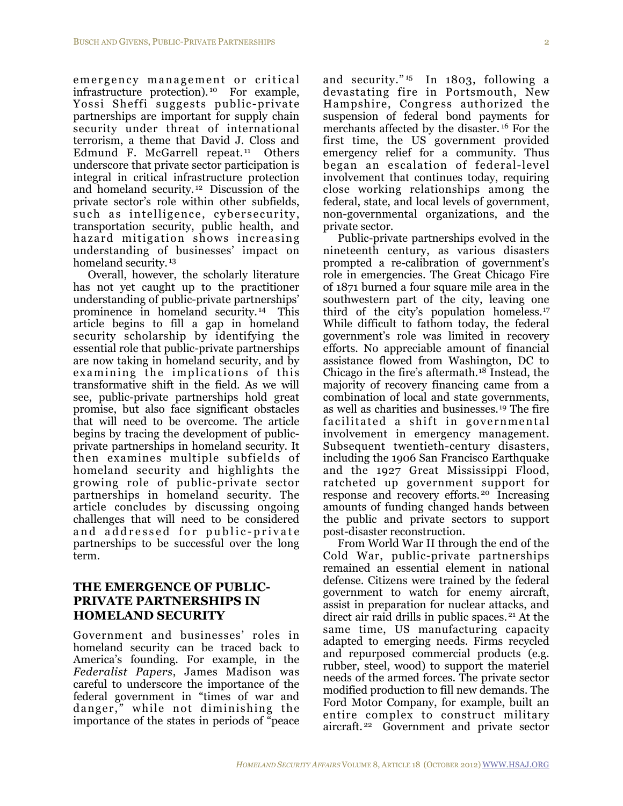emergency management or critical infrastructure protection).<sup>[10](#page-16-6)</sup> For example, Yossi Sheffi suggests public-private partnerships are important for supply chain security under threat of international terrorism, a theme that David J. Closs and Edmund F. McGarrell repeat.<sup>[11](#page-16-7)</sup> Others underscore that private sector participation is integral in critical infrastructure protection and homeland security. [12](#page-16-8) Discussion of the private sector's role within other subfields, such as intelligence, cybersecurity, transportation security, public health, and hazard mitigation shows increasing understanding of businesses' impact on homeland security.<sup>[13](#page-16-9)</sup>

Overall, however, the scholarly literature has not yet caught up to the practitioner understanding of public-private partnerships' prominence in homeland security. [14](#page-16-10) This article begins to fill a gap in homeland security scholarship by identifying the essential role that public-private partnerships are now taking in homeland security, and by examining the implications of this transformative shift in the field. As we will see, public-private partnerships hold great promise, but also face significant obstacles that will need to be overcome. The article begins by tracing the development of publicprivate partnerships in homeland security. It then examines multiple subfields of homeland security and highlights the growing role of public-private sector partnerships in homeland security. The article concludes by discussing ongoing challenges that will need to be considered and addressed for public-private partnerships to be successful over the long term.

# **THE EMERGENCE OF PUBLIC-PRIVATE PARTNERSHIPS IN HOMELAND SECURITY**

Government and businesses' roles in homeland security can be traced back to America's founding. For example, in the *Federalist Papers*, James Madison was careful to underscore the importance of the federal government in "times of war and danger," while not diminishing the importance of the states in periods of "peace and security." [15](#page-16-11) In 1803, following a devastating fire in Portsmouth, New Hampshire, Congress authorized the suspension of federal bond payments for merchants affected by the disaster. [16](#page-17-0) For the first time, the US government provided emergency relief for a community. Thus began an escalation of federal-level involvement that continues today, requiring close working relationships among the federal, state, and local levels of government, non-governmental organizations, and the private sector.

Public-private partnerships evolved in the nineteenth century, as various disasters prompted a re-calibration of government's role in emergencies. The Great Chicago Fire of 1871 burned a four square mile area in the southwestern part of the city, leaving one third of the city's population homeless.[17](#page-17-1) While difficult to fathom today, the federal government's role was limited in recovery efforts. No appreciable amount of financial assistance flowed from Washington, DC to Chicago in the fire's aftermath.[18](#page-17-2) Instead, the majority of recovery financing came from a combination of local and state governments, as well as charities and businesses.[19](#page-17-3) The fire facilitated a shift in governmental involvement in emergency management. Subsequent twentieth-century disasters, including the 1906 San Francisco Earthquake and the 1927 Great Mississippi Flood, ratcheted up government support for response and recovery efforts. [20](#page-17-4) Increasing amounts of funding changed hands between the public and private sectors to support post-disaster reconstruction.

From World War II through the end of the Cold War, public-private partnerships remained an essential element in national defense. Citizens were trained by the federal government to watch for enemy aircraft, assist in preparation for nuclear attacks, and direct air raid drills in public spaces. [21](#page-17-5) At the same time, US manufacturing capacity adapted to emerging needs. Firms recycled and repurposed commercial products (e.g. rubber, steel, wood) to support the materiel needs of the armed forces. The private sector modified production to fill new demands. The Ford Motor Company, for example, built an entire complex to construct military aircraft. [22](#page-17-6) Government and private sector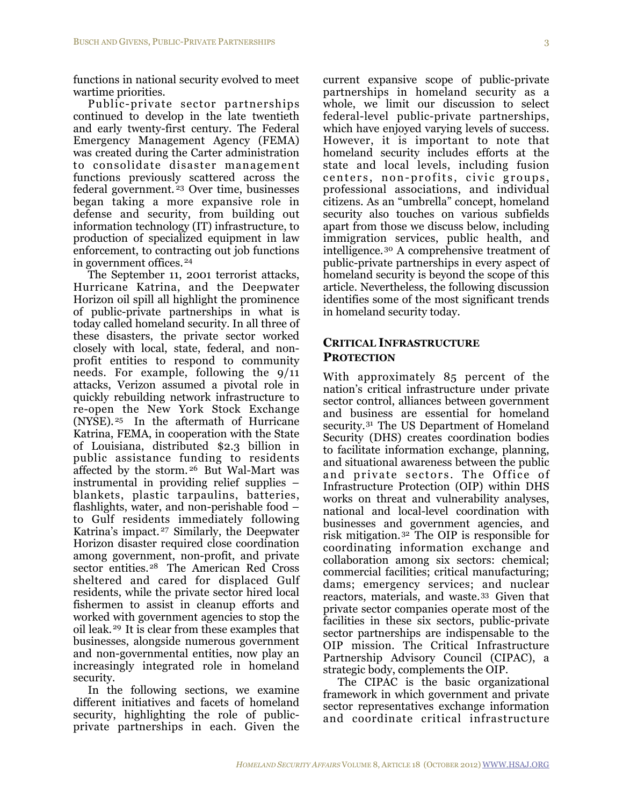functions in national security evolved to meet wartime priorities.

Public-private sector partnerships continued to develop in the late twentieth and early twenty-first century. The Federal Emergency Management Agency (FEMA) was created during the Carter administration to consolidate disaster management functions previously scattered across the federal government. [23](#page-17-7) Over time, businesses began taking a more expansive role in defense and security, from building out information technology (IT) infrastructure, to production of specialized equipment in law enforcement, to contracting out job functions in government offices.[24](#page-17-8)

The September 11, 2001 terrorist attacks, Hurricane Katrina, and the Deepwater Horizon oil spill all highlight the prominence of public-private partnerships in what is today called homeland security. In all three of these disasters, the private sector worked closely with local, state, federal, and nonprofit entities to respond to community needs. For example, following the 9/11 attacks, Verizon assumed a pivotal role in quickly rebuilding network infrastructure to re-open the New York Stock Exchange (NYSE). [25](#page-17-9) In the aftermath of Hurricane Katrina, FEMA, in cooperation with the State of Louisiana, distributed \$2.3 billion in public assistance funding to residents affected by the storm. [26](#page-17-10) But Wal-Mart was instrumental in providing relief supplies – blankets, plastic tarpaulins, batteries, flashlights, water, and non-perishable food – to Gulf residents immediately following Katrina's impact. [27](#page-17-11) Similarly, the Deepwater Horizon disaster required close coordination among government, non-profit, and private sector entities.<sup>[28](#page-17-12)</sup> The American Red Cross sheltered and cared for displaced Gulf residents, while the private sector hired local fishermen to assist in cleanup efforts and worked with government agencies to stop the oil leak.[29](#page-17-13) It is clear from these examples that businesses, alongside numerous government and non-governmental entities, now play an increasingly integrated role in homeland security.

In the following sections, we examine different initiatives and facets of homeland security, highlighting the role of publicprivate partnerships in each. Given the

current expansive scope of public-private partnerships in homeland security as a whole, we limit our discussion to select federal-level public-private partnerships, which have enjoyed varying levels of success. However, it is important to note that homeland security includes efforts at the state and local levels, including fusion centers, non-profits, civic groups, professional associations, and individual citizens. As an "umbrella" concept, homeland security also touches on various subfields apart from those we discuss below, including immigration services, public health, and intelligence.[30](#page-17-14) A comprehensive treatment of public-private partnerships in every aspect of homeland security is beyond the scope of this article. Nevertheless, the following discussion identifies some of the most significant trends in homeland security today.

# **CRITICAL INFRASTRUCTURE PROTECTION**

With approximately 85 percent of the nation's critical infrastructure under private sector control, alliances between government and business are essential for homeland security.[31](#page-17-15) The US Department of Homeland Security (DHS) creates coordination bodies to facilitate information exchange, planning, and situational awareness between the public and private sectors. The Office of Infrastructure Protection (OIP) within DHS works on threat and vulnerability analyses, national and local-level coordination with businesses and government agencies, and risk mitigation.[32](#page-17-16) The OIP is responsible for coordinating information exchange and collaboration among six sectors: chemical; commercial facilities; critical manufacturing; dams; emergency services; and nuclear reactors, materials, and waste.[33](#page-17-17) Given that private sector companies operate most of the facilities in these six sectors, public-private sector partnerships are indispensable to the OIP mission. The Critical Infrastructure Partnership Advisory Council (CIPAC), a strategic body, complements the OIP.

The CIPAC is the basic organizational framework in which government and private sector representatives exchange information and coordinate critical infrastructure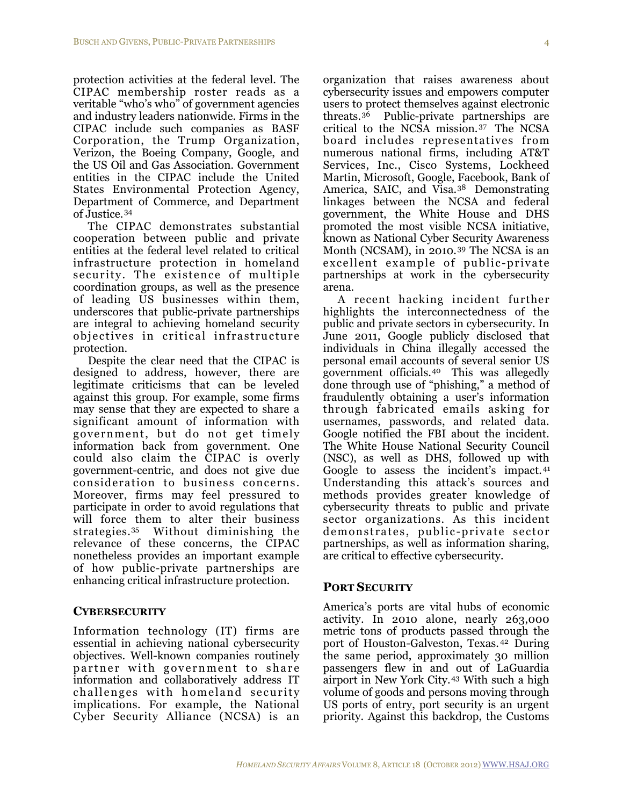protection activities at the federal level. The CIPAC membership roster reads as a veritable "who's who" of government agencies and industry leaders nationwide. Firms in the CIPAC include such companies as BASF Corporation, the Trump Organization, Verizon, the Boeing Company, Google, and the US Oil and Gas Association. Government entities in the CIPAC include the United States Environmental Protection Agency, Department of Commerce, and Department of Justice.[34](#page-17-18)

The CIPAC demonstrates substantial cooperation between public and private entities at the federal level related to critical infrastructure protection in homeland security. The existence of multiple coordination groups, as well as the presence of leading US businesses within them, underscores that public-private partnerships are integral to achieving homeland security objectives in critical infrastructure protection.

Despite the clear need that the CIPAC is designed to address, however, there are legitimate criticisms that can be leveled against this group. For example, some firms may sense that they are expected to share a significant amount of information with government, but do not get timely information back from government. One could also claim the CIPAC is overly government-centric, and does not give due consideration to business concerns. Moreover, firms may feel pressured to participate in order to avoid regulations that will force them to alter their business strategies.[35](#page-17-19) Without diminishing the relevance of these concerns, the CIPAC nonetheless provides an important example of how public-private partnerships are enhancing critical infrastructure protection.

#### **CYBERSECURITY**

Information technology (IT) firms are essential in achieving national cybersecurity objectives. Well-known companies routinely partner with government to share information and collaboratively address IT challenges with homeland security implications. For example, the National Cyber Security Alliance (NCSA) is an

organization that raises awareness about cybersecurity issues and empowers computer users to protect themselves against electronic threats.[36](#page-18-0) Public-private partnerships are critical to the NCSA mission. [37](#page-18-1) The NCSA board includes representatives from numerous national firms, including AT&T Services, Inc., Cisco Systems, Lockheed Martin, Microsoft, Google, Facebook, Bank of America, SAIC, and Visa.[38](#page-18-2) Demonstrating linkages between the NCSA and federal government, the White House and DHS promoted the most visible NCSA initiative, known as National Cyber Security Awareness Month (NCSAM), in 2010.<sup>39</sup> The NCSA is an excellent example of public-private partnerships at work in the cybersecurity arena.

A recent hacking incident further highlights the interconnectedness of the public and private sectors in cybersecurity. In June 2011, Google publicly disclosed that individuals in China illegally accessed the personal email accounts of several senior US government officials.[40](#page-18-4) This was allegedly done through use of "phishing," a method of fraudulently obtaining a user's information through fabricated emails asking for usernames, passwords, and related data. Google notified the FBI about the incident. The White House National Security Council (NSC), as well as DHS, followed up with Google to assess the incident's impact.<sup>[41](#page-18-5)</sup> Understanding this attack's sources and methods provides greater knowledge of cybersecurity threats to public and private sector organizations. As this incident demonstrates, public-private sector partnerships, as well as information sharing, are critical to effective cybersecurity.

#### **PORT SECURITY**

America's ports are vital hubs of economic activity. In 2010 alone, nearly 263,000 metric tons of products passed through the port of Houston-Galveston, Texas. [42](#page-18-6) During the same period, approximately 30 million passengers flew in and out of LaGuardia airport in New York City.[43](#page-18-7) With such a high volume of goods and persons moving through US ports of entry, port security is an urgent priority. Against this backdrop, the Customs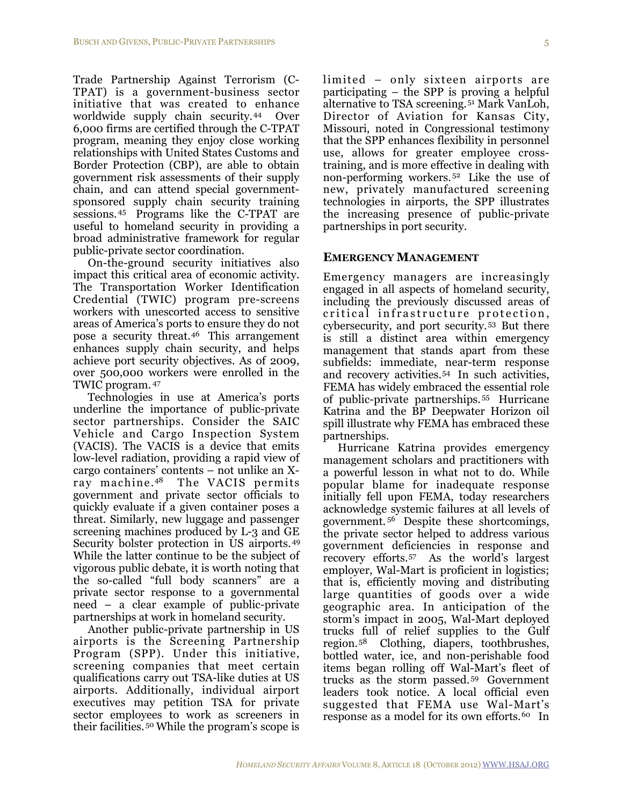Trade Partnership Against Terrorism (C-TPAT) is a government-business sector initiative that was created to enhance worldwide supply chain security.[44](#page-18-8) Over 6,000 firms are certified through the C-TPAT program, meaning they enjoy close working relationships with United States Customs and Border Protection (CBP), are able to obtain government risk assessments of their supply chain, and can attend special governmentsponsored supply chain security training sessions. [45](#page-18-9) Programs like the C-TPAT are useful to homeland security in providing a broad administrative framework for regular public-private sector coordination.

On-the-ground security initiatives also impact this critical area of economic activity. The Transportation Worker Identification Credential (TWIC) program pre-screens workers with unescorted access to sensitive areas of America's ports to ensure they do not pose a security threat.[46](#page-18-10) This arrangement enhances supply chain security, and helps achieve port security objectives. As of 2009, over 500,000 workers were enrolled in the TWIC program. [47](#page-18-11)

Technologies in use at America's ports underline the importance of public-private sector partnerships. Consider the SAIC Vehicle and Cargo Inspection System (VACIS). The VACIS is a device that emits low-level radiation, providing a rapid view of cargo containers' contents – not unlike an Xray machine.[48](#page-18-12) The VACIS permits government and private sector officials to quickly evaluate if a given container poses a threat. Similarly, new luggage and passenger screening machines produced by L-3 and GE Security bolster protection in US airports.[49](#page-18-13) While the latter continue to be the subject of vigorous public debate, it is worth noting that the so-called "full body scanners" are a private sector response to a governmental need – a clear example of public-private partnerships at work in homeland security.

Another public-private partnership in US airports is the Screening Partnership Program (SPP). Under this initiative, screening companies that meet certain qualifications carry out TSA-like duties at US airports. Additionally, individual airport executives may petition TSA for private sector employees to work as screeners in their facilities. [50](#page-18-14) While the program's scope is limited – only sixteen airports are participating – the SPP is proving a helpful alternative to TSA screening.[51](#page-18-15) Mark VanLoh, Director of Aviation for Kansas City, Missouri, noted in Congressional testimony that the SPP enhances flexibility in personnel use, allows for greater employee crosstraining, and is more effective in dealing with non-performing workers. [52](#page-18-16) Like the use of new, privately manufactured screening technologies in airports, the SPP illustrates the increasing presence of public-private partnerships in port security.

#### **EMERGENCY MANAGEMENT**

Emergency managers are increasingly engaged in all aspects of homeland security, including the previously discussed areas of critical infrastructure protection, cybersecurity, and port security.[53](#page-18-17) But there is still a distinct area within emergency management that stands apart from these subfields: immediate, near-term response and recovery activities.[54](#page-18-18) In such activities, FEMA has widely embraced the essential role of public-private partnerships. [55](#page-19-0) Hurricane Katrina and the BP Deepwater Horizon oil spill illustrate why FEMA has embraced these partnerships.

Hurricane Katrina provides emergency management scholars and practitioners with a powerful lesson in what not to do. While popular blame for inadequate response initially fell upon FEMA, today researchers acknowledge systemic failures at all levels of government. [56](#page-19-1) Despite these shortcomings, the private sector helped to address various government deficiencies in response and recovery efforts.[57](#page-19-2) As the world's largest employer, Wal-Mart is proficient in logistics; that is, efficiently moving and distributing large quantities of goods over a wide geographic area. In anticipation of the storm's impact in 2005, Wal-Mart deployed trucks full of relief supplies to the Gulf region.[58](#page-19-3) Clothing, diapers, toothbrushes, bottled water, ice, and non-perishable food items began rolling off Wal-Mart's fleet of trucks as the storm passed. [59](#page-19-4) Government leaders took notice. A local official even suggested that FEMA use Wal-Mart's response as a model for its own efforts.<sup>60</sup> In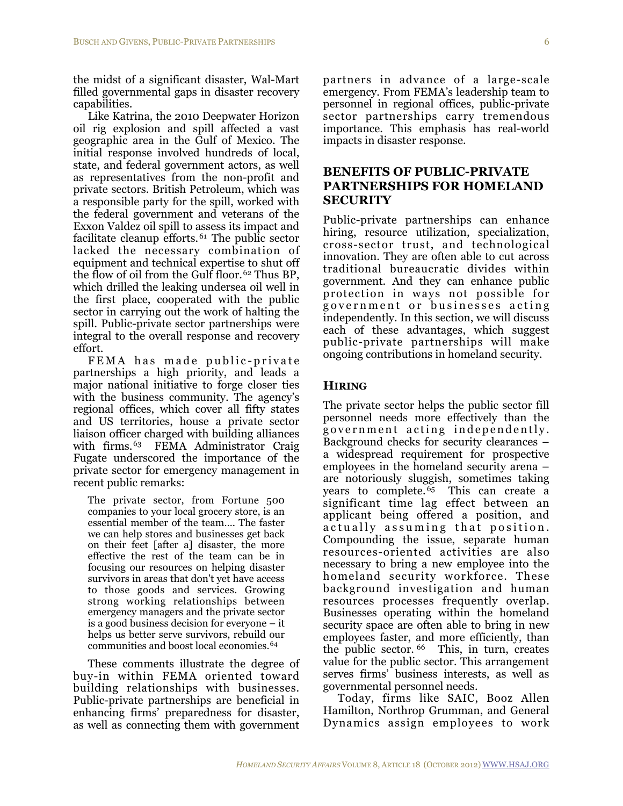the midst of a significant disaster, Wal-Mart filled governmental gaps in disaster recovery capabilities.

Like Katrina, the 2010 Deepwater Horizon oil rig explosion and spill affected a vast geographic area in the Gulf of Mexico. The initial response involved hundreds of local, state, and federal government actors, as well as representatives from the non-profit and private sectors. British Petroleum, which was a responsible party for the spill, worked with the federal government and veterans of the Exxon Valdez oil spill to assess its impact and facilitate cleanup efforts.<sup> $61$ </sup> The public sector lacked the necessary combination of equipment and technical expertise to shut off the flow of oil from the Gulf floor.<sup>[62](#page-19-7)</sup> Thus BP, which drilled the leaking undersea oil well in the first place, cooperated with the public sector in carrying out the work of halting the spill. Public-private sector partnerships were integral to the overall response and recovery effort.

FEMA has made public-private partnerships a high priority, and leads a major national initiative to forge closer ties with the business community. The agency's regional offices, which cover all fifty states and US territories, house a private sector liaison officer charged with building alliances with firms.<sup>[63](#page-19-8)</sup> FEMA Administrator Craig Fugate underscored the importance of the private sector for emergency management in recent public remarks:

The private sector, from Fortune 500 companies to your local grocery store, is an essential member of the team…. The faster we can help stores and businesses get back on their feet [after a] disaster, the more effective the rest of the team can be in focusing our resources on helping disaster survivors in areas that don't yet have access to those goods and services. Growing strong working relationships between emergency managers and the private sector is a good business decision for everyone – it helps us better serve survivors, rebuild our communities and boost local economies.[64](#page-19-9)

These comments illustrate the degree of buy-in within FEMA oriented toward building relationships with businesses. Public-private partnerships are beneficial in enhancing firms' preparedness for disaster, as well as connecting them with government partners in advance of a large-scale emergency. From FEMA's leadership team to personnel in regional offices, public-private sector partnerships carry tremendous importance. This emphasis has real-world impacts in disaster response.

# **BENEFITS OF PUBLIC-PRIVATE PARTNERSHIPS FOR HOMELAND SECURITY**

Public-private partnerships can enhance hiring, resource utilization, specialization, cross-sector trust, and technological innovation. They are often able to cut across traditional bureaucratic divides within government. And they can enhance public protection in ways not possible for government or businesses acting independently. In this section, we will discuss each of these advantages, which suggest public-private partnerships will make ongoing contributions in homeland security.

### **HIRING**

The private sector helps the public sector fill personnel needs more effectively than the government acting independently. Background checks for security clearances – a widespread requirement for prospective employees in the homeland security arena – are notoriously sluggish, sometimes taking years to complete.<sup>65</sup> This can create a significant time lag effect between an applicant being offered a position, and actually assuming that position. Compounding the issue, separate human resources-oriented activities are also necessary to bring a new employee into the homeland security workforce. These background investigation and human resources processes frequently overlap. Businesses operating within the homeland security space are often able to bring in new employees faster, and more efficiently, than the public sector. [66](#page-19-11) This, in turn, creates value for the public sector. This arrangement serves firms' business interests, as well as governmental personnel needs.

Today, firms like SAIC, Booz Allen Hamilton, Northrop Grumman, and General Dynamics assign employees to work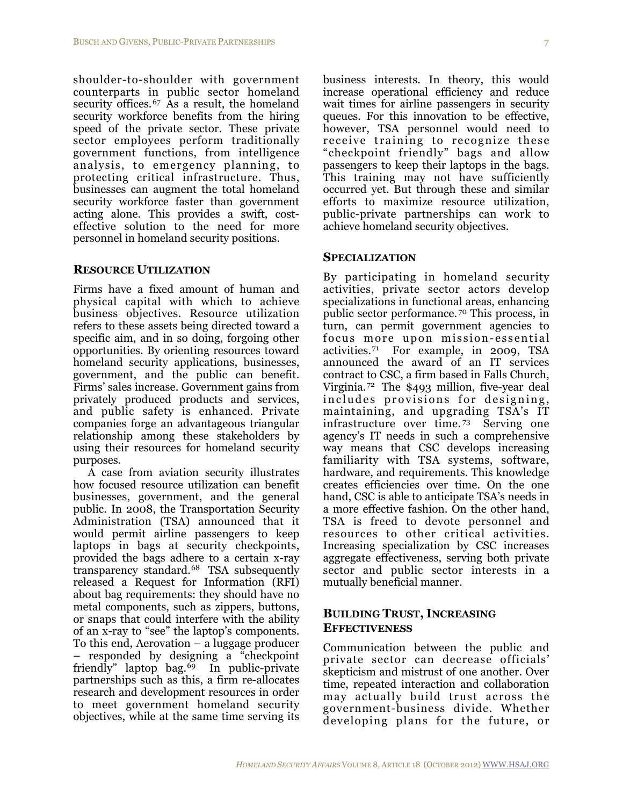shoulder-to-shoulder with government counterparts in public sector homeland security offices.<sup>[67](#page-19-12)</sup> As a result, the homeland security workforce benefits from the hiring speed of the private sector. These private sector employees perform traditionally government functions, from intelligence analysis, to emergency planning, to protecting critical infrastructure. Thus, businesses can augment the total homeland security workforce faster than government acting alone. This provides a swift, costeffective solution to the need for more personnel in homeland security positions.

### **RESOURCE UTILIZATION**

Firms have a fixed amount of human and physical capital with which to achieve business objectives. Resource utilization refers to these assets being directed toward a specific aim, and in so doing, forgoing other opportunities. By orienting resources toward homeland security applications, businesses, government, and the public can benefit. Firms' sales increase. Government gains from privately produced products and services, and public safety is enhanced. Private companies forge an advantageous triangular relationship among these stakeholders by using their resources for homeland security purposes.

A case from aviation security illustrates how focused resource utilization can benefit businesses, government, and the general public. In 2008, the Transportation Security Administration (TSA) announced that it would permit airline passengers to keep laptops in bags at security checkpoints, provided the bags adhere to a certain x-ray transparency standard.[68](#page-19-13) TSA subsequently released a Request for Information (RFI) about bag requirements: they should have no metal components, such as zippers, buttons, or snaps that could interfere with the ability of an x-ray to "see" the laptop's components. To this end, Aerovation – a luggage producer – responded by designing a "checkpoint friendly" laptop bag.[69](#page-19-14) In public-private partnerships such as this, a firm re-allocates research and development resources in order to meet government homeland security objectives, while at the same time serving its business interests. In theory, this would increase operational efficiency and reduce wait times for airline passengers in security queues. For this innovation to be effective, however, TSA personnel would need to receive training to recognize these "checkpoint friendly" bags and allow passengers to keep their laptops in the bags. This training may not have sufficiently occurred yet. But through these and similar efforts to maximize resource utilization, public-private partnerships can work to achieve homeland security objectives.

#### **SPECIALIZATION**

By participating in homeland security activities, private sector actors develop specializations in functional areas, enhancing public sector performance. [70](#page-19-15) This process, in turn, can permit government agencies to focus more upon mission-essential activities.[71](#page-20-0) For example, in 2009, TSA announced the award of an IT services contract to CSC, a firm based in Falls Church, Virginia.[72](#page-20-1) The \$493 million, five-year deal includes provisions for designing, maintaining, and upgrading TSA's IT infrastructure over time. [73](#page-20-2) Serving one agency's IT needs in such a comprehensive way means that CSC develops increasing familiarity with TSA systems, software, hardware, and requirements. This knowledge creates efficiencies over time. On the one hand, CSC is able to anticipate TSA's needs in a more effective fashion. On the other hand, TSA is freed to devote personnel and resources to other critical activities. Increasing specialization by CSC increases aggregate effectiveness, serving both private sector and public sector interests in a mutually beneficial manner.

# **BUILDING TRUST, INCREASING EFFECTIVENESS**

Communication between the public and private sector can decrease officials' skepticism and mistrust of one another. Over time, repeated interaction and collaboration may actually build trust across the government-business divide. Whether developing plans for the future, or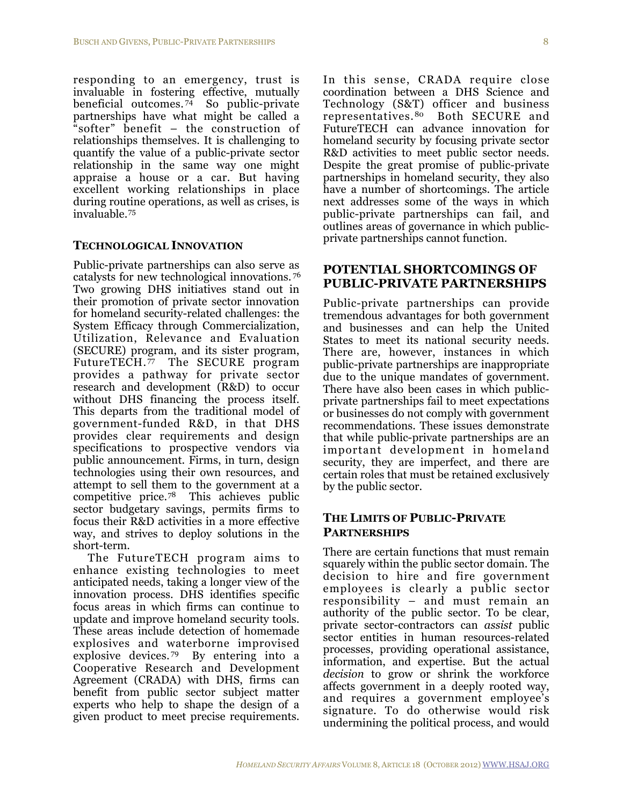responding to an emergency, trust is invaluable in fostering effective, mutually beneficial outcomes. [74](#page-20-3) So public-private partnerships have what might be called a "softer" benefit – the construction of relationships themselves. It is challenging to quantify the value of a public-private sector relationship in the same way one might appraise a house or a car. But having excellent working relationships in place during routine operations, as well as crises, is invaluable.[75](#page-20-4)

### **TECHNOLOGICAL INNOVATION**

Public-private partnerships can also serve as catalysts for new technological innovations. [76](#page-20-5) Two growing DHS initiatives stand out in their promotion of private sector innovation for homeland security-related challenges: the System Efficacy through Commercialization, Utilization, Relevance and Evaluation (SECURE) program, and its sister program, FutureTECH.<sup>[77](#page-20-6)</sup> The SECURE program provides a pathway for private sector research and development (R&D) to occur without DHS financing the process itself. This departs from the traditional model of government-funded R&D, in that DHS provides clear requirements and design specifications to prospective vendors via public announcement. Firms, in turn, design technologies using their own resources, and attempt to sell them to the government at a competitive price.[78](#page-20-7) This achieves public sector budgetary savings, permits firms to focus their R&D activities in a more effective way, and strives to deploy solutions in the short-term.

The FutureTECH program aims to enhance existing technologies to meet anticipated needs, taking a longer view of the innovation process. DHS identifies specific focus areas in which firms can continue to update and improve homeland security tools. These areas include detection of homemade explosives and waterborne improvised explosive devices. [79](#page-20-8) By entering into a Cooperative Research and Development Agreement (CRADA) with DHS, firms can benefit from public sector subject matter experts who help to shape the design of a given product to meet precise requirements.

In this sense, CRADA require close coordination between a DHS Science and Technology (S&T) officer and business representatives. [80](#page-20-9) Both SECURE and FutureTECH can advance innovation for homeland security by focusing private sector R&D activities to meet public sector needs. Despite the great promise of public-private partnerships in homeland security, they also have a number of shortcomings. The article next addresses some of the ways in which public-private partnerships can fail, and outlines areas of governance in which publicprivate partnerships cannot function.

# **POTENTIAL SHORTCOMINGS OF PUBLIC-PRIVATE PARTNERSHIPS**

Public-private partnerships can provide tremendous advantages for both government and businesses and can help the United States to meet its national security needs. There are, however, instances in which public-private partnerships are inappropriate due to the unique mandates of government. There have also been cases in which publicprivate partnerships fail to meet expectations or businesses do not comply with government recommendations. These issues demonstrate that while public-private partnerships are an important development in homeland security, they are imperfect, and there are certain roles that must be retained exclusively by the public sector.

# **THE LIMITS OF PUBLIC-PRIVATE PARTNERSHIPS**

There are certain functions that must remain squarely within the public sector domain. The decision to hire and fire government employees is clearly a public sector responsibility – and must remain an authority of the public sector. To be clear, private sector-contractors can *assist* public sector entities in human resources-related processes, providing operational assistance, information, and expertise. But the actual *decision* to grow or shrink the workforce affects government in a deeply rooted way, and requires a government employee's signature. To do otherwise would risk undermining the political process, and would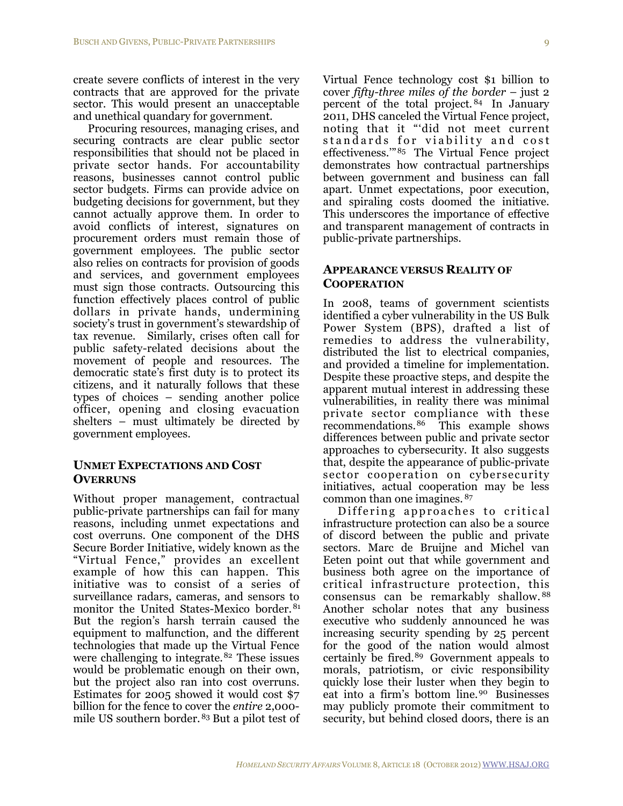create severe conflicts of interest in the very contracts that are approved for the private sector. This would present an unacceptable and unethical quandary for government.

Procuring resources, managing crises, and securing contracts are clear public sector responsibilities that should not be placed in private sector hands. For accountability reasons, businesses cannot control public sector budgets. Firms can provide advice on budgeting decisions for government, but they cannot actually approve them. In order to avoid conflicts of interest, signatures on procurement orders must remain those of government employees. The public sector also relies on contracts for provision of goods and services, and government employees must sign those contracts. Outsourcing this function effectively places control of public dollars in private hands, undermining society's trust in government's stewardship of tax revenue. Similarly, crises often call for public safety-related decisions about the movement of people and resources. The democratic state's first duty is to protect its citizens, and it naturally follows that these types of choices – sending another police officer, opening and closing evacuation shelters – must ultimately be directed by government employees.

# **UNMET EXPECTATIONS AND COST OVERRUNS**

Without proper management, contractual public-private partnerships can fail for many reasons, including unmet expectations and cost overruns. One component of the DHS Secure Border Initiative, widely known as the "Virtual Fence," provides an excellent example of how this can happen. This initiative was to consist of a series of surveillance radars, cameras, and sensors to monitor the United States-Mexico border. [81](#page-20-10) But the region's harsh terrain caused the equipment to malfunction, and the different technologies that made up the Virtual Fence were challenging to integrate.  $82$  These issues would be problematic enough on their own, but the project also ran into cost overruns. Estimates for 2005 showed it would cost \$7 billion for the fence to cover the *entire* 2,000 mile US southern border. [83](#page-20-12) But a pilot test of Virtual Fence technology cost \$1 billion to cover *fifty-three miles of the border* – just 2 percent of the total project. [84](#page-20-13) In January 2011, DHS canceled the Virtual Fence project, noting that it "'did not meet current standards for viability and cost effectiveness.'" [85](#page-20-14) The Virtual Fence project demonstrates how contractual partnerships between government and business can fall apart. Unmet expectations, poor execution, and spiraling costs doomed the initiative. This underscores the importance of effective and transparent management of contracts in public-private partnerships.

# **APPEARANCE VERSUS REALITY OF COOPERATION**

In 2008, teams of government scientists identified a cyber vulnerability in the US Bulk Power System (BPS), drafted a list of remedies to address the vulnerability, distributed the list to electrical companies, and provided a timeline for implementation. Despite these proactive steps, and despite the apparent mutual interest in addressing these vulnerabilities, in reality there was minimal private sector compliance with these recommendations.[86](#page-20-15) This example shows differences between public and private sector approaches to cybersecurity. It also suggests that, despite the appearance of public-private sector cooperation on cybersecurity initiatives, actual cooperation may be less common than one imagines. [87](#page-20-16)

Differing approaches to critical infrastructure protection can also be a source of discord between the public and private sectors. Marc de Bruijne and Michel van Eeten point out that while government and business both agree on the importance of critical infrastructure protection, this consensus can be remarkably shallow. [88](#page-20-17) Another scholar notes that any business executive who suddenly announced he was increasing security spending by 25 percent for the good of the nation would almost certainly be fired.[89](#page-20-18) Government appeals to morals, patriotism, or civic responsibility quickly lose their luster when they begin to eat into a firm's bottom line.<sup>90</sup> Businesses may publicly promote their commitment to security, but behind closed doors, there is an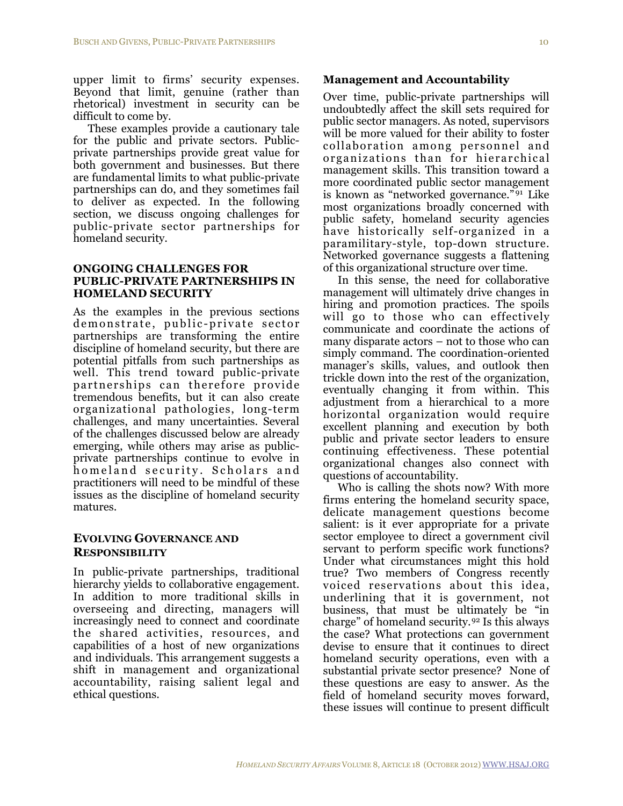upper limit to firms' security expenses. Beyond that limit, genuine (rather than rhetorical) investment in security can be difficult to come by.

These examples provide a cautionary tale for the public and private sectors. Publicprivate partnerships provide great value for both government and businesses. But there are fundamental limits to what public-private partnerships can do, and they sometimes fail to deliver as expected. In the following section, we discuss ongoing challenges for public-private sector partnerships for homeland security.

### **ONGOING CHALLENGES FOR PUBLIC-PRIVATE PARTNERSHIPS IN HOMELAND SECURITY**

As the examples in the previous sections demonstrate, public-private sector partnerships are transforming the entire discipline of homeland security, but there are potential pitfalls from such partnerships as well. This trend toward public-private partnerships can therefore provide tremendous benefits, but it can also create organizational pathologies, long-term challenges, and many uncertainties. Several of the challenges discussed below are already emerging, while others may arise as publicprivate partnerships continue to evolve in homeland security. Scholars and practitioners will need to be mindful of these issues as the discipline of homeland security matures.

### **EVOLVING GOVERNANCE AND RESPONSIBILITY**

In public-private partnerships, traditional hierarchy yields to collaborative engagement. In addition to more traditional skills in overseeing and directing, managers will increasingly need to connect and coordinate the shared activities, resources, and capabilities of a host of new organizations and individuals. This arrangement suggests a shift in management and organizational accountability, raising salient legal and ethical questions.

Over time, public-private partnerships will undoubtedly affect the skill sets required for public sector managers. As noted, supervisors will be more valued for their ability to foster collaboration among personnel and organizations than for hierarchical management skills. This transition toward a more coordinated public sector management is known as "networked governance." [91](#page-20-20) Like most organizations broadly concerned with public safety, homeland security agencies have historically self-organized in a paramilitary-style, top-down structure. Networked governance suggests a flattening of this organizational structure over time.

In this sense, the need for collaborative management will ultimately drive changes in hiring and promotion practices. The spoils will go to those who can effectively communicate and coordinate the actions of many disparate actors – not to those who can simply command. The coordination-oriented manager's skills, values, and outlook then trickle down into the rest of the organization, eventually changing it from within. This adjustment from a hierarchical to a more horizontal organization would require excellent planning and execution by both public and private sector leaders to ensure continuing effectiveness. These potential organizational changes also connect with questions of accountability.

Who is calling the shots now? With more firms entering the homeland security space, delicate management questions become salient: is it ever appropriate for a private sector employee to direct a government civil servant to perform specific work functions? Under what circumstances might this hold true? Two members of Congress recently voiced reservations about this idea, underlining that it is government, not business, that must be ultimately be "in charge" of homeland security.[92](#page-21-0) Is this always the case? What protections can government devise to ensure that it continues to direct homeland security operations, even with a substantial private sector presence? None of these questions are easy to answer. As the field of homeland security moves forward, these issues will continue to present difficult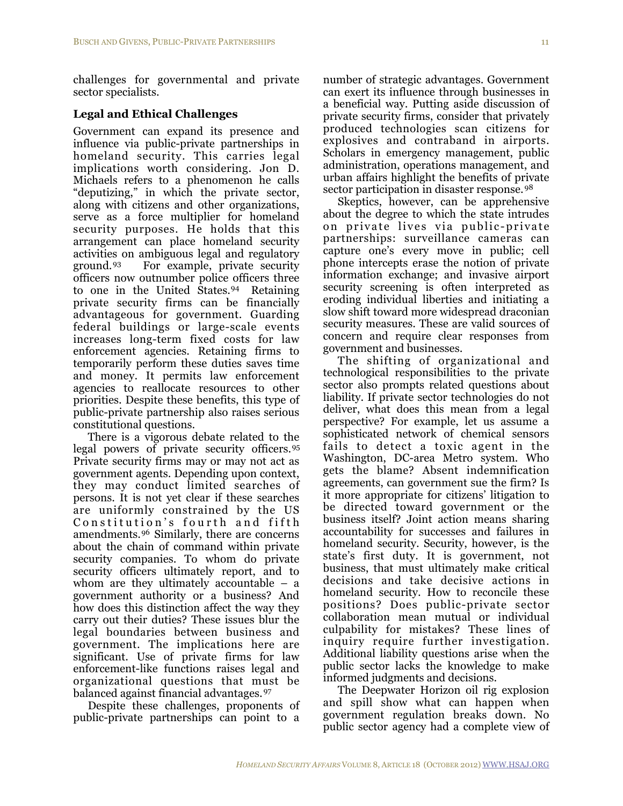challenges for governmental and private sector specialists.

### **Legal and Ethical Challenges**

Government can expand its presence and influence via public-private partnerships in homeland security. This carries legal implications worth considering. Jon D. Michaels refers to a phenomenon he calls "deputizing," in which the private sector, along with citizens and other organizations, serve as a force multiplier for homeland security purposes. He holds that this arrangement can place homeland security activities on ambiguous legal and regulatory ground.[93](#page-21-1) For example, private security officers now outnumber police officers three to one in the United States.[94](#page-21-2) Retaining private security firms can be financially advantageous for government. Guarding federal buildings or large-scale events increases long-term fixed costs for law enforcement agencies. Retaining firms to temporarily perform these duties saves time and money. It permits law enforcement agencies to reallocate resources to other priorities. Despite these benefits, this type of public-private partnership also raises serious constitutional questions.

There is a vigorous debate related to the legal powers of private security officers.[95](#page-21-3) Private security firms may or may not act as government agents. Depending upon context, they may conduct limited searches of persons. It is not yet clear if these searches are uniformly constrained by the US Constitution's fourth and fifth amendments.[96](#page-21-4) Similarly, there are concerns about the chain of command within private security companies. To whom do private security officers ultimately report, and to whom are they ultimately accountable  $-$  a government authority or a business? And how does this distinction affect the way they carry out their duties? These issues blur the legal boundaries between business and government. The implications here are significant. Use of private firms for law enforcement-like functions raises legal and organizational questions that must be balanced against financial advantages.[97](#page-21-5)

Despite these challenges, proponents of public-private partnerships can point to a

number of strategic advantages. Government can exert its influence through businesses in a beneficial way. Putting aside discussion of private security firms, consider that privately produced technologies scan citizens for explosives and contraband in airports. Scholars in emergency management, public administration, operations management, and urban affairs highlight the benefits of private sector participation in disaster response.<sup>[98](#page-21-6)</sup>

Skeptics, however, can be apprehensive about the degree to which the state intrudes on private lives via public-private partnerships: surveillance cameras can capture one's every move in public; cell phone intercepts erase the notion of private information exchange; and invasive airport security screening is often interpreted as eroding individual liberties and initiating a slow shift toward more widespread draconian security measures. These are valid sources of concern and require clear responses from government and businesses.

The shifting of organizational and technological responsibilities to the private sector also prompts related questions about liability. If private sector technologies do not deliver, what does this mean from a legal perspective? For example, let us assume a sophisticated network of chemical sensors fails to detect a toxic agent in the Washington, DC-area Metro system. Who gets the blame? Absent indemnification agreements, can government sue the firm? Is it more appropriate for citizens' litigation to be directed toward government or the business itself? Joint action means sharing accountability for successes and failures in homeland security. Security, however, is the state's first duty. It is government, not business, that must ultimately make critical decisions and take decisive actions in homeland security. How to reconcile these positions? Does public-private sector collaboration mean mutual or individual culpability for mistakes? These lines of inquiry require further investigation. Additional liability questions arise when the public sector lacks the knowledge to make informed judgments and decisions.

The Deepwater Horizon oil rig explosion and spill show what can happen when government regulation breaks down. No public sector agency had a complete view of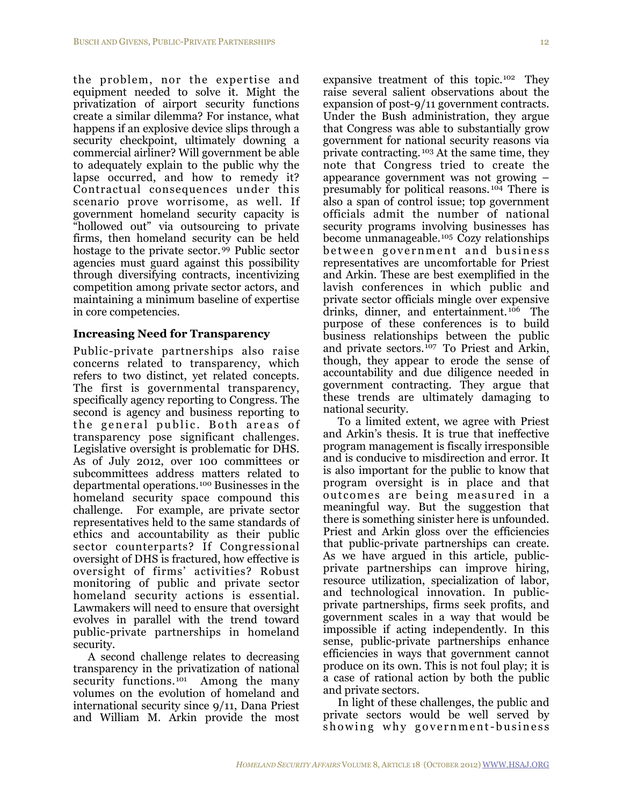the problem, nor the expertise and equipment needed to solve it. Might the privatization of airport security functions create a similar dilemma? For instance, what happens if an explosive device slips through a security checkpoint, ultimately downing a commercial airliner? Will government be able to adequately explain to the public why the lapse occurred, and how to remedy it? Contractual consequences under this scenario prove worrisome, as well. If government homeland security capacity is "hollowed out" via outsourcing to private firms, then homeland security can be held hostage to the private sector. [99](#page-21-7) Public sector agencies must guard against this possibility through diversifying contracts, incentivizing competition among private sector actors, and maintaining a minimum baseline of expertise in core competencies.

#### **Increasing Need for Transparency**

Public-private partnerships also raise concerns related to transparency, which refers to two distinct, yet related concepts. The first is governmental transparency, specifically agency reporting to Congress. The second is agency and business reporting to the general public. Both areas of transparency pose significant challenges. Legislative oversight is problematic for DHS. As of July 2012, over 100 committees or subcommittees address matters related to departmental operations.[100](#page-21-8) Businesses in the homeland security space compound this challenge. For example, are private sector representatives held to the same standards of ethics and accountability as their public sector counterparts? If Congressional oversight of DHS is fractured, how effective is oversight of firms' activities? Robust monitoring of public and private sector homeland security actions is essential. Lawmakers will need to ensure that oversight evolves in parallel with the trend toward public-private partnerships in homeland security.

A second challenge relates to decreasing transparency in the privatization of national security functions.<sup>[101](#page-21-9)</sup> Among the many volumes on the evolution of homeland and international security since 9/11, Dana Priest and William M. Arkin provide the most

expansive treatment of this topic.[102](#page-21-10) They raise several salient observations about the expansion of post-9/11 government contracts. Under the Bush administration, they argue that Congress was able to substantially grow government for national security reasons via private contracting. [103](#page-21-11) At the same time, they note that Congress tried to create the appearance government was not growing – presumably for political reasons. [104](#page-21-12) There is also a span of control issue; top government officials admit the number of national security programs involving businesses has become unmanageable.[105](#page-21-13) Cozy relationships between government and business representatives are uncomfortable for Priest and Arkin. These are best exemplified in the lavish conferences in which public and private sector officials mingle over expensive drinks, dinner, and entertainment. [106](#page-21-14) The purpose of these conferences is to build business relationships between the public and private sectors.<sup>107</sup> To Priest and Arkin, though, they appear to erode the sense of accountability and due diligence needed in government contracting. They argue that these trends are ultimately damaging to national security.

To a limited extent, we agree with Priest and Arkin's thesis. It is true that ineffective program management is fiscally irresponsible and is conducive to misdirection and error. It is also important for the public to know that program oversight is in place and that outcomes are being measured in a meaningful way. But the suggestion that there is something sinister here is unfounded. Priest and Arkin gloss over the efficiencies that public-private partnerships can create. As we have argued in this article, publicprivate partnerships can improve hiring, resource utilization, specialization of labor, and technological innovation. In publicprivate partnerships, firms seek profits, and government scales in a way that would be impossible if acting independently. In this sense, public-private partnerships enhance efficiencies in ways that government cannot produce on its own. This is not foul play; it is a case of rational action by both the public and private sectors.

In light of these challenges, the public and private sectors would be well served by showing why government-business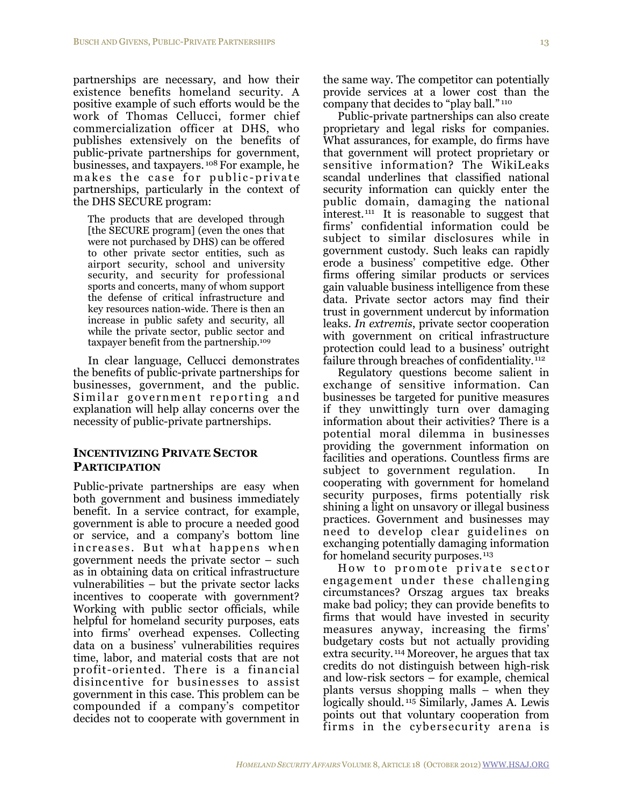partnerships are necessary, and how their existence benefits homeland security. A positive example of such efforts would be the work of Thomas Cellucci, former chief commercialization officer at DHS, who publishes extensively on the benefits of public-private partnerships for government, businesses, and taxpayers. [108](#page-21-16) For example, he makes the case for public-private partnerships, particularly in the context of the DHS SECURE program:

The products that are developed through [the SECURE program] (even the ones that were not purchased by DHS) can be offered to other private sector entities, such as airport security, school and university security, and security for professional sports and concerts, many of whom support the defense of critical infrastructure and key resources nation-wide. There is then an increase in public safety and security, all while the private sector, public sector and taxpayer benefit from the partnership[.109](#page-21-17)

In clear language, Cellucci demonstrates the benefits of public-private partnerships for businesses, government, and the public. Similar government reporting and explanation will help allay concerns over the necessity of public-private partnerships.

### **INCENTIVIZING PRIVATE SECTOR PARTICIPATION**

Public-private partnerships are easy when both government and business immediately benefit. In a service contract, for example, government is able to procure a needed good or service, and a company's bottom line increases. But what happens when government needs the private sector – such as in obtaining data on critical infrastructure vulnerabilities – but the private sector lacks incentives to cooperate with government? Working with public sector officials, while helpful for homeland security purposes, eats into firms' overhead expenses. Collecting data on a business' vulnerabilities requires time, labor, and material costs that are not profit-oriented. There is a financial disincentive for businesses to assist government in this case. This problem can be compounded if a company's competitor decides not to cooperate with government in

Public-private partnerships can also create proprietary and legal risks for companies. What assurances, for example, do firms have that government will protect proprietary or sensitive information? The WikiLeaks scandal underlines that classified national security information can quickly enter the public domain, damaging the national interest. [111](#page-21-19) It is reasonable to suggest that firms' confidential information could be subject to similar disclosures while in government custody. Such leaks can rapidly erode a business' competitive edge. Other firms offering similar products or services gain valuable business intelligence from these data. Private sector actors may find their trust in government undercut by information leaks. *In extremis*, private sector cooperation with government on critical infrastructure protection could lead to a business' outright failure through breaches of confidentiality. [112](#page-22-0)

Regulatory questions become salient in exchange of sensitive information. Can businesses be targeted for punitive measures if they unwittingly turn over damaging information about their activities? There is a potential moral dilemma in businesses providing the government information on facilities and operations. Countless firms are subject to government regulation. In cooperating with government for homeland security purposes, firms potentially risk shining a light on unsavory or illegal business practices. Government and businesses may need to develop clear guidelines on exchanging potentially damaging information for homeland security purposes.<sup>[113](#page-22-1)</sup>

How to promote private sector engagement under these challenging circumstances? Orszag argues tax breaks make bad policy; they can provide benefits to firms that would have invested in security measures anyway, increasing the firms' budgetary costs but not actually providing extra security. [114](#page-22-2) Moreover, he argues that tax credits do not distinguish between high-risk and low-risk sectors – for example, chemical plants versus shopping malls – when they logically should. [115](#page-22-3) Similarly, James A. Lewis points out that voluntary cooperation from firms in the cybersecurity arena is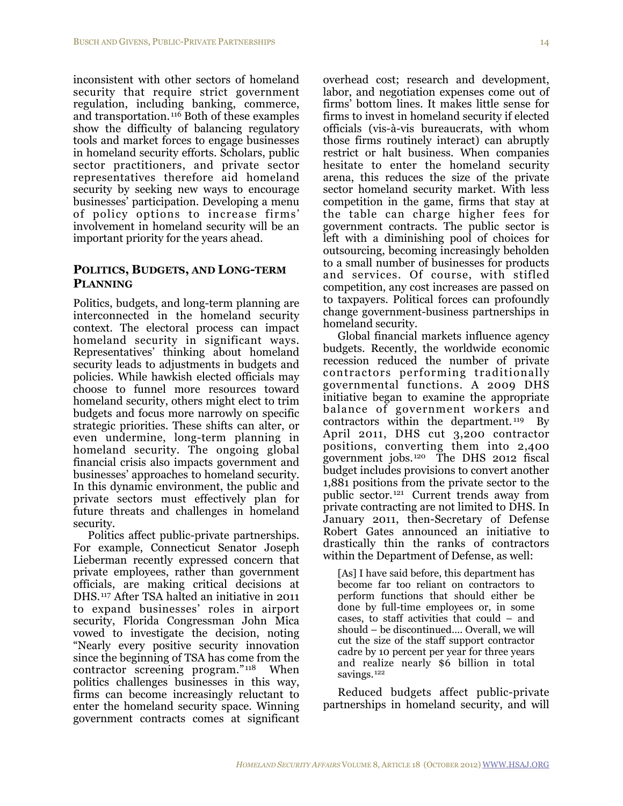inconsistent with other sectors of homeland security that require strict government regulation, including banking, commerce, and transportation. [116](#page-22-4) Both of these examples show the difficulty of balancing regulatory tools and market forces to engage businesses in homeland security efforts. Scholars, public sector practitioners, and private sector representatives therefore aid homeland security by seeking new ways to encourage businesses' participation. Developing a menu of policy options to increase firms' involvement in homeland security will be an important priority for the years ahead.

### **POLITICS, BUDGETS, AND LONG-TERM PLANNING**

Politics, budgets, and long-term planning are interconnected in the homeland security context. The electoral process can impact homeland security in significant ways. Representatives' thinking about homeland security leads to adjustments in budgets and policies. While hawkish elected officials may choose to funnel more resources toward homeland security, others might elect to trim budgets and focus more narrowly on specific strategic priorities. These shifts can alter, or even undermine, long-term planning in homeland security. The ongoing global financial crisis also impacts government and businesses' approaches to homeland security. In this dynamic environment, the public and private sectors must effectively plan for future threats and challenges in homeland security.

Politics affect public-private partnerships. For example, Connecticut Senator Joseph Lieberman recently expressed concern that private employees, rather than government officials, are making critical decisions at DHS.[117](#page-22-5) After TSA halted an initiative in 2011 to expand businesses' roles in airport security, Florida Congressman John Mica vowed to investigate the decision, noting "Nearly every positive security innovation since the beginning of TSA has come from the contractor screening program." [118](#page-22-6) When politics challenges businesses in this way, firms can become increasingly reluctant to enter the homeland security space. Winning government contracts comes at significant

overhead cost; research and development, labor, and negotiation expenses come out of firms' bottom lines. It makes little sense for firms to invest in homeland security if elected officials (vis-à-vis bureaucrats, with whom those firms routinely interact) can abruptly restrict or halt business. When companies hesitate to enter the homeland security arena, this reduces the size of the private sector homeland security market. With less competition in the game, firms that stay at the table can charge higher fees for government contracts. The public sector is left with a diminishing pool of choices for outsourcing, becoming increasingly beholden to a small number of businesses for products and services. Of course, with stifled competition, any cost increases are passed on to taxpayers. Political forces can profoundly change government-business partnerships in homeland security.

Global financial markets influence agency budgets. Recently, the worldwide economic recession reduced the number of private contractors performing traditionally governmental functions. A 2009 DHS initiative began to examine the appropriate balance of government workers and contractors within the department. [119](#page-22-7) By April 2011, DHS cut 3,200 contractor positions, converting them into 2,400 government jobs.[120](#page-22-8) The DHS 2012 fiscal budget includes provisions to convert another 1,881 positions from the private sector to the public sector. [121](#page-22-9) Current trends away from private contracting are not limited to DHS. In January 2011, then-Secretary of Defense Robert Gates announced an initiative to drastically thin the ranks of contractors within the Department of Defense, as well:

[As] I have said before, this department has become far too reliant on contractors to perform functions that should either be done by full-time employees or, in some cases, to staff activities that could – and should – be discontinued…. Overall, we will cut the size of the staff support contractor cadre by 10 percent per year for three years and realize nearly \$6 billion in total savings.<sup>[122](#page-22-10)</sup>

Reduced budgets affect public-private partnerships in homeland security, and will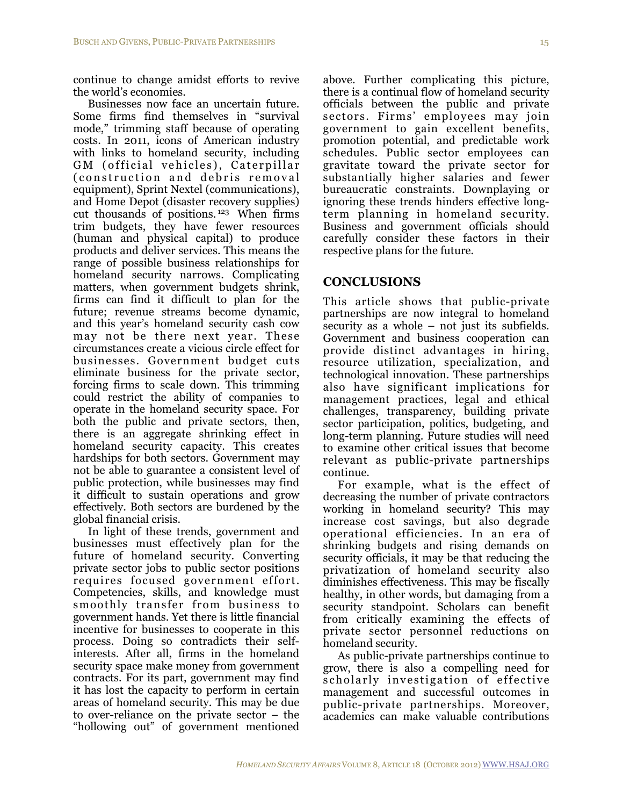continue to change amidst efforts to revive the world's economies.

Businesses now face an uncertain future. Some firms find themselves in "survival mode," trimming staff because of operating costs. In 2011, icons of American industry with links to homeland security, including GM ( official vehicles), Caterpillar (construction and debris removal equipment), Sprint Nextel (communications), and Home Depot (disaster recovery supplies) cut thousands of positions. [123](#page-22-11) When firms trim budgets, they have fewer resources (human and physical capital) to produce products and deliver services. This means the range of possible business relationships for homeland security narrows. Complicating matters, when government budgets shrink, firms can find it difficult to plan for the future; revenue streams become dynamic, and this year's homeland security cash cow may not be there next year. These circumstances create a vicious circle effect for businesses. Government budget cuts eliminate business for the private sector, forcing firms to scale down. This trimming could restrict the ability of companies to operate in the homeland security space. For both the public and private sectors, then, there is an aggregate shrinking effect in homeland security capacity. This creates hardships for both sectors. Government may not be able to guarantee a consistent level of public protection, while businesses may find it difficult to sustain operations and grow effectively. Both sectors are burdened by the global financial crisis.

In light of these trends, government and businesses must effectively plan for the future of homeland security. Converting private sector jobs to public sector positions requires focused government effort. Competencies, skills, and knowledge must smoothly transfer from business to government hands. Yet there is little financial incentive for businesses to cooperate in this process. Doing so contradicts their selfinterests. After all, firms in the homeland security space make money from government contracts. For its part, government may find it has lost the capacity to perform in certain areas of homeland security. This may be due to over-reliance on the private sector – the "hollowing out" of government mentioned

above. Further complicating this picture, there is a continual flow of homeland security officials between the public and private sectors. Firms' employees may join government to gain excellent benefits, promotion potential, and predictable work schedules. Public sector employees can gravitate toward the private sector for substantially higher salaries and fewer bureaucratic constraints. Downplaying or ignoring these trends hinders effective longterm planning in homeland security. Business and government officials should carefully consider these factors in their respective plans for the future.

### **CONCLUSIONS**

This article shows that public-private partnerships are now integral to homeland security as a whole – not just its subfields. Government and business cooperation can provide distinct advantages in hiring, resource utilization, specialization, and technological innovation. These partnerships also have significant implications for management practices, legal and ethical challenges, transparency, building private sector participation, politics, budgeting, and long-term planning. Future studies will need to examine other critical issues that become relevant as public-private partnerships continue.

For example, what is the effect of decreasing the number of private contractors working in homeland security? This may increase cost savings, but also degrade operational efficiencies. In an era of shrinking budgets and rising demands on security officials, it may be that reducing the privatization of homeland security also diminishes effectiveness. This may be fiscally healthy, in other words, but damaging from a security standpoint. Scholars can benefit from critically examining the effects of private sector personnel reductions on homeland security.

As public-private partnerships continue to grow, there is also a compelling need for scholarly investigation of effective management and successful outcomes in public-private partnerships. Moreover, academics can make valuable contributions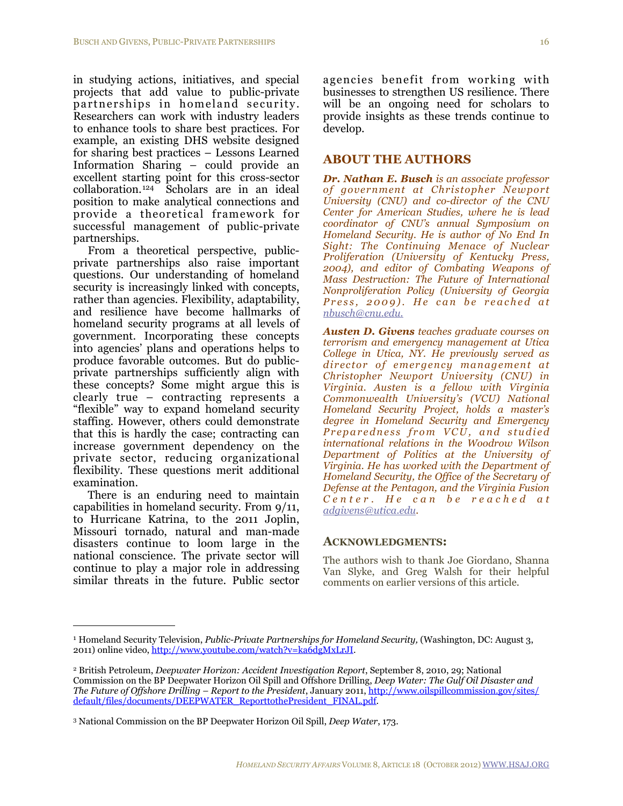in studying actions, initiatives, and special projects that add value to public-private partnerships in homeland security. Researchers can work with industry leaders to enhance tools to share best practices. For example, an existing DHS website designed for sharing best practices – Lessons Learned Information Sharing – could provide an excellent starting point for this cross-sector collaboration.[124](#page-22-12) Scholars are in an ideal position to make analytical connections and provide a theoretical framework for successful management of public-private partnerships.

From a theoretical perspective, publicprivate partnerships also raise important questions. Our understanding of homeland security is increasingly linked with concepts, rather than agencies. Flexibility, adaptability, and resilience have become hallmarks of homeland security programs at all levels of government. Incorporating these concepts into agencies' plans and operations helps to produce favorable outcomes. But do publicprivate partnerships sufficiently align with these concepts? Some might argue this is clearly true – contracting represents a "flexible" way to expand homeland security staffing. However, others could demonstrate that this is hardly the case; contracting can increase government dependency on the private sector, reducing organizational flexibility. These questions merit additional examination.

There is an enduring need to maintain capabilities in homeland security. From 9/11, to Hurricane Katrina, to the 2011 Joplin, Missouri tornado, natural and man-made disasters continue to loom large in the national conscience. The private sector will continue to play a major role in addressing similar threats in the future. Public sector

agencies benefit from working with businesses to strengthen US resilience. There will be an ongoing need for scholars to provide insights as these trends continue to develop.

### **ABOUT THE AUTHORS**

*Dr. Nathan E. Busch is an associate professor of government at Christopher Newport University (CNU) and co-director of the CNU Center for American Studies, where he is lead coordinator of CNU's annual Symposium on Homeland Security. He is author of No End In Sight: The Continuing Menace of Nuclear Proliferation (University of Kentucky Press, 2004), and editor of Combating Weapons of Mass Destruction: The Future of International Nonproliferation Policy (University of Georgia Press, 2009). He can be reached at [nbusch@cnu.edu.](mailto:nbusch@cnu.edu)*

*Austen D. Givens teaches graduate courses on terrorism and emergency management at Utica College in Utica, NY. He previously served as director of emergency management at Christopher Newport University (CNU) in Virginia. Austen is a fellow with Virginia Commonwealth University's (VCU) National Homeland Security Project, holds a master's degree in Homeland Security and Emergency Preparedness from VCU, and studied international relations in the Woodrow Wilson Department of Politics at the University of Virginia. He has worked with the Department of Homeland Security, the Office of the Secretary of Defense at the Pentagon, and the Virginia Fusion*  Center. He can be reached at *[adgivens@utica.edu.](mailto:adgivens@utica.edu)* 

#### **ACKNOWLEDGMENTS:**

The authors wish to thank Joe Giordano, Shanna Van Slyke, and Greg Walsh for their helpful comments on earlier versions of this article.

<span id="page-15-0"></span><sup>1</sup> Homeland Security Television, *Public-Private Partnerships for Homeland Security,* (Washington, DC: August 3, 2011) online video,<http://www.youtube.com/watch?v=ka6dgMxLrJI>.

<span id="page-15-1"></span><sup>2</sup> British Petroleum, *Deepwater Horizon: Accident Investigation Report*, September 8, 2010, 29; National Commission on the BP Deepwater Horizon Oil Spill and Offshore Drilling, *Deep Water: The Gulf Oil Disaster and The Future of Offshore Drilling – Report to the President*, January 2011, [http://www.oilspillcommission.gov/sites/](http://www.oilspillcommission.gov/sites/default/files/documents/DEEPWATER_ReporttothePresident_FINAL.pdf) [default/files/documents/DEEPWATER\\_ReporttothePresident\\_FINAL.pdf.](http://www.oilspillcommission.gov/sites/default/files/documents/DEEPWATER_ReporttothePresident_FINAL.pdf)

<span id="page-15-2"></span><sup>3</sup> National Commission on the BP Deepwater Horizon Oil Spill, *Deep Water*, 173.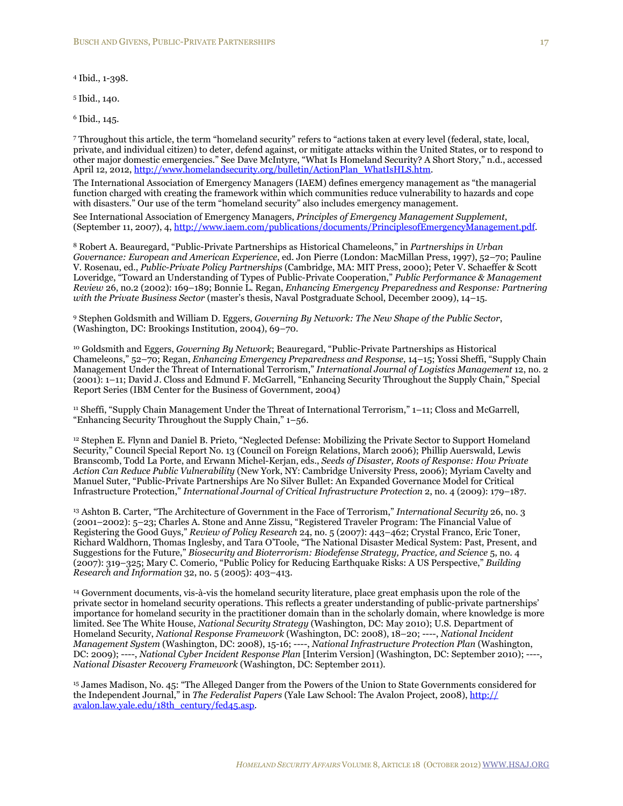<span id="page-16-0"></span>4 Ibid., 1-398.

<span id="page-16-1"></span>5 Ibid., 140.

<span id="page-16-2"></span>6 Ibid., 145.

<span id="page-16-3"></span>7 Throughout this article, the term "homeland security" refers to "actions taken at every level (federal, state, local, private, and individual citizen) to deter, defend against, or mitigate attacks within the United States, or to respond to other major domestic emergencies." See Dave McIntyre, "What Is Homeland Security? A Short Story," n.d., accessed April 12, 2012, [http://www.homelandsecurity.org/bulletin/ActionPlan\\_WhatIsHLS.htm](http://www.homelandsecurity.org/bulletin/ActionPlan_WhatIsHLS.htm).

The International Association of Emergency Managers (IAEM) defines emergency management as "the managerial function charged with creating the framework within which communities reduce vulnerability to hazards and cope with disasters." Our use of the term "homeland security" also includes emergency management.

See International Association of Emergency Managers, *Principles of Emergency Management Supplement*, (September 11, 2007), 4, [http://www.iaem.com/publications/documents/PrinciplesofEmergencyManagement.pdf.](http://www.iaem.com/publications/documents/PrinciplesofEmergencyManagement.pdf)

<span id="page-16-4"></span>8 Robert A. Beauregard, "Public-Private Partnerships as Historical Chameleons," in *Partnerships in Urban Governance: European and American Experience*, ed. Jon Pierre (London: MacMillan Press, 1997), 52–70; Pauline V. Rosenau, ed., *Public-Private Policy Partnerships* (Cambridge, MA: MIT Press, 2000); Peter V. Schaeffer & Scott Loveridge, "Toward an Understanding of Types of Public-Private Cooperation," *Public Performance & Management Review* 26, no.2 (2002): 169–189; Bonnie L. Regan, *Enhancing Emergency Preparedness and Response: Partnering with the Private Business Sector* (master's thesis, Naval Postgraduate School, December 2009), 14–15.

<span id="page-16-5"></span>9 Stephen Goldsmith and William D. Eggers, *Governing By Network: The New Shape of the Public Sector*, (Washington, DC: Brookings Institution, 2004), 69–70.

<span id="page-16-6"></span>10 Goldsmith and Eggers, *Governing By Network*; Beauregard, "Public-Private Partnerships as Historical Chameleons," 52–70; Regan, *Enhancing Emergency Preparedness and Response,* 14–15; Yossi Sheffi, "Supply Chain Management Under the Threat of International Terrorism," *International Journal of Logistics Management* 12, no. 2 (2001): 1–11; David J. Closs and Edmund F. McGarrell, "Enhancing Security Throughout the Supply Chain," Special Report Series (IBM Center for the Business of Government, 2004)

<span id="page-16-7"></span>11 Sheffi, "Supply Chain Management Under the Threat of International Terrorism," 1–11; Closs and McGarrell, "Enhancing Security Throughout the Supply Chain," 1–56.

<span id="page-16-8"></span>12 Stephen E. Flynn and Daniel B. Prieto, "Neglected Defense: Mobilizing the Private Sector to Support Homeland Security," Council Special Report No. 13 (Council on Foreign Relations, March 2006); Phillip Auerswald, Lewis Branscomb, Todd La Porte, and Erwann Michel-Kerjan, eds., *Seeds of Disaster, Roots of Response: How Private Action Can Reduce Public Vulnerability* (New York, NY: Cambridge University Press, 2006); Myriam Cavelty and Manuel Suter, "Public-Private Partnerships Are No Silver Bullet: An Expanded Governance Model for Critical Infrastructure Protection," *International Journal of Critical Infrastructure Protection* 2, no. 4 (2009): 179–187.

<span id="page-16-9"></span>13 Ashton B. Carter, "The Architecture of Government in the Face of Terrorism," *International Security* 26, no. 3 (2001–2002): 5–23; Charles A. Stone and Anne Zissu, "Registered Traveler Program: The Financial Value of Registering the Good Guys," *Review of Policy Research* 24, no. 5 (2007): 443–462; Crystal Franco, Eric Toner, Richard Waldhorn, Thomas Inglesby, and Tara O'Toole, "The National Disaster Medical System: Past, Present, and Suggestions for the Future," *Biosecurity and Bioterrorism: Biodefense Strategy, Practice, and Science* 5, no. 4 (2007): 319–325; Mary C. Comerio, "Public Policy for Reducing Earthquake Risks: A US Perspective," *Building Research and Information* 32, no. 5 (2005): 403–413.

<span id="page-16-10"></span>14 Government documents, vis-à-vis the homeland security literature, place great emphasis upon the role of the private sector in homeland security operations. This reflects a greater understanding of public-private partnerships' importance for homeland security in the practitioner domain than in the scholarly domain, where knowledge is more limited. See The White House, *National Security Strategy* (Washington, DC: May 2010); U.S. Department of Homeland Security, *National Response Framework* (Washington, DC: 2008), 18–20; ----, *National Incident Management System* (Washington, DC: 2008), 15-16; ----, *National Infrastructure Protection Plan* (Washington, DC: 2009); ----, *National Cyber Incident Response Plan* [Interim Version] (Washington, DC: September 2010); ----, *National Disaster Recovery Framework* (Washington, DC: September 2011).

<span id="page-16-11"></span>15 James Madison, No. 45: "The Alleged Danger from the Powers of the Union to State Governments considered for the Independent Journal," in *The Federalist Papers* (Yale Law School: The Avalon Project, 2008), [http://](http://avalon.law.yale.edu/18th_century/fed45.asp) [avalon.law.yale.edu/18th\\_century/fed45.asp](http://avalon.law.yale.edu/18th_century/fed45.asp).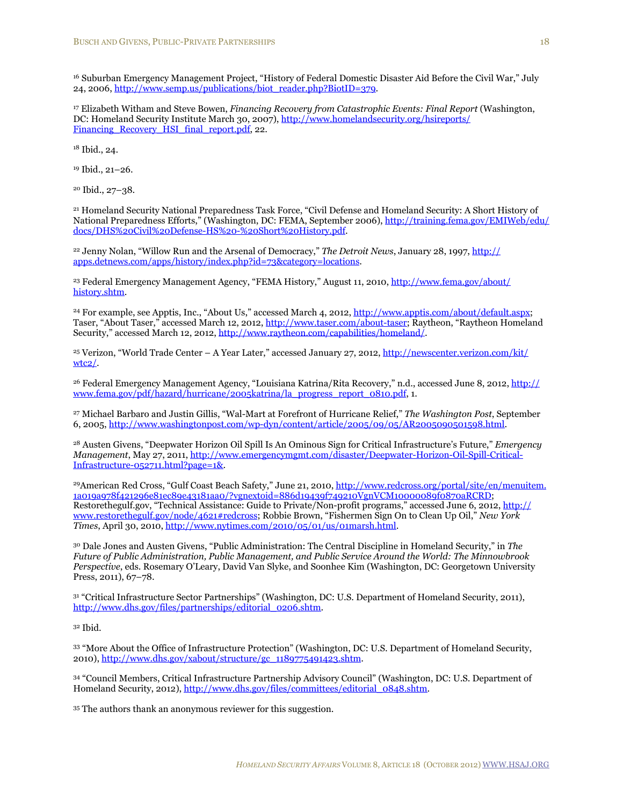<span id="page-17-0"></span>16 Suburban Emergency Management Project, "History of Federal Domestic Disaster Aid Before the Civil War," July 24, 2006, [http://www.semp.us/publications/biot\\_reader.php?BiotID=379](http://www.semp.us/publications/biot_reader.php?BiotID=379).

<span id="page-17-1"></span>17 Elizabeth Witham and Steve Bowen, *Financing Recovery from Catastrophic Events: Final Report* (Washington, DC: Homeland Security Institute March 30, 2007), [http://www.homelandsecurity.org/hsireports/](http://www.homelandsecurity.org/hsireports/Financing_Recovery_HSI_final_report.pdf) [Financing\\_Recovery\\_HSI\\_final\\_report.pdf,](http://www.homelandsecurity.org/hsireports/Financing_Recovery_HSI_final_report.pdf) 22.

<span id="page-17-2"></span>18 Ibid., 24.

<span id="page-17-3"></span>19 Ibid., 21–26.

<span id="page-17-4"></span>20 Ibid., 27–38.

<span id="page-17-5"></span>21 Homeland Security National Preparedness Task Force, "Civil Defense and Homeland Security: A Short History of National Preparedness Efforts," (Washington, DC: FEMA, September 2006), [http://training.fema.gov/EMIWeb/edu/](http://training.fema.gov/EMIWeb/edu/docs/DHS%20Civil%20Defense-HS%20-%20Short%20History.pdf) [docs/DHS%20Civil%20Defense-HS%20-%20Short%20History.pdf.](http://training.fema.gov/EMIWeb/edu/docs/DHS%20Civil%20Defense-HS%20-%20Short%20History.pdf)

<span id="page-17-6"></span>22 Jenny Nolan, "Willow Run and the Arsenal of Democracy," *The Detroit News*, January 28, 1997, [http://](http://apps.detnews.com/apps/history/index.php?id=73&category=locations) [apps.detnews.com/apps/history/index.php?id=73&category=locations](http://apps.detnews.com/apps/history/index.php?id=73&category=locations).

<span id="page-17-7"></span><sup>23</sup> Federal Emergency Management Agency, "FEMA History," August 11, 2010, [http://www.fema.gov/about/](http://www.fema.gov/about/history.shtm) [history.shtm](http://www.fema.gov/about/history.shtm).

<span id="page-17-8"></span><sup>24</sup> For example, see Apptis, Inc., "About Us," accessed March 4, 2012, <http://www.apptis.com/about/default.aspx>; Taser, "About Taser," accessed March 12, 2012,<http://www.taser.com/about-taser>; Raytheon, "Raytheon Homeland Security," accessed March 12, 2012, [http://www.raytheon.com/capabilities/homeland/.](http://www.raytheon.com/capabilities/homeland/)

<span id="page-17-9"></span>25 Verizon, "World Trade Center – A Year Later," accessed January 27, 2012, [http://newscenter.verizon.com/kit/](http://newscenter.verizon.com/kit/wtc2/) [wtc2/](http://newscenter.verizon.com/kit/wtc2/).

<span id="page-17-10"></span><sup>26</sup> Federal Emergency Management Agency, "Louisiana Katrina/Rita Recovery," n.d., accessed June 8, 2012, [http://](http://www.fema.gov/pdf/hazard/hurricane/2005katrina/la_progress_report_0810.pdf) [www.fema.gov/pdf/hazard/hurricane/2005katrina/la\\_progress\\_report\\_0810.pdf](http://www.fema.gov/pdf/hazard/hurricane/2005katrina/la_progress_report_0810.pdf), 1.

<span id="page-17-11"></span>27 Michael Barbaro and Justin Gillis, "Wal-Mart at Forefront of Hurricane Relief," *The Washington Post*, September 6, 2005,<http://www.washingtonpost.com/wp-dyn/content/article/2005/09/05/AR2005090501598.html>.

<span id="page-17-12"></span>28 Austen Givens, "Deepwater Horizon Oil Spill Is An Ominous Sign for Critical Infrastructure's Future," *Emergency Management*, May 27, 2011, [http://www.emergencymgmt.com/disaster/Deepwater-Horizon-Oil-Spill-Critical-](http://www.emergencymgmt.com/disaster/Deepwater-Horizon-Oil-Spill-Critical-Infrastructure-052711.html?page=1&)[Infrastructure-052711.html?page=1&](http://www.emergencymgmt.com/disaster/Deepwater-Horizon-Oil-Spill-Critical-Infrastructure-052711.html?page=1&).

<span id="page-17-13"></span><sup>29</sup>American Red Cross, "Gulf Coast Beach Safety," June 21, 2010, [http://www.redcross.org/portal/site/en/menuitem.](http://www.redcross.org/portal/site/en/menuitem.1a019a978f421296e81ec89e43181aa0/?vgnextoid=886d19439f749210VgnVCM10000089f0870aRCRD) [1a019a978f421296e81ec89e43181aa0/?vgnextoid=886d19439f749210VgnVCM10000089f0870aRCRD](http://www.redcross.org/portal/site/en/menuitem.1a019a978f421296e81ec89e43181aa0/?vgnextoid=886d19439f749210VgnVCM10000089f0870aRCRD); Restorethegulf.gov, "Technical Assistance: Guide to Private/Non-profit programs," accessed June 6, 2012, [http://](http://www.restorethegulf.gov/node/4621) [www.restorethegulf.gov/node/4621#redcross](http://www.restorethegulf.gov/node/4621); Robbie Brown, "Fishermen Sign On to Clean Up Oil," *New York Times*, April 30, 2010, [http://www.nytimes.com/2010/05/01/us/01marsh.html.](http://www.nytimes.com/2010/05/01/us/01marsh.html)

<span id="page-17-14"></span>30 Dale Jones and Austen Givens, "Public Administration: The Central Discipline in Homeland Security," in *The Future of Public Administration, Public Management, and Public Service Around the World: The Minnowbrook Perspective*, eds. Rosemary O'Leary, David Van Slyke, and Soonhee Kim (Washington, DC: Georgetown University Press, 2011), 67–78.

<span id="page-17-15"></span>31 "Critical Infrastructure Sector Partnerships" (Washington, DC: U.S. Department of Homeland Security, 2011), [http://www.dhs.gov/files/partnerships/editorial\\_0206.shtm.](http://www.dhs.gov/files/partnerships/editorial_0206.shtm)

<span id="page-17-16"></span>32 Ibid.

<span id="page-17-17"></span>33 "More About the Office of Infrastructure Protection" (Washington, DC: U.S. Department of Homeland Security, 2010), [http://www.dhs.gov/xabout/structure/gc\\_1189775491423.shtm](http://www.dhs.gov/xabout/structure/gc_1189775491423.shtm).

<span id="page-17-18"></span>34 "Council Members, Critical Infrastructure Partnership Advisory Council" (Washington, DC: U.S. Department of Homeland Security, 2012), [http://www.dhs.gov/files/committees/editorial\\_0848.shtm](http://www.dhs.gov/files/committees/editorial_0848.shtm).

<span id="page-17-19"></span>35 The authors thank an anonymous reviewer for this suggestion.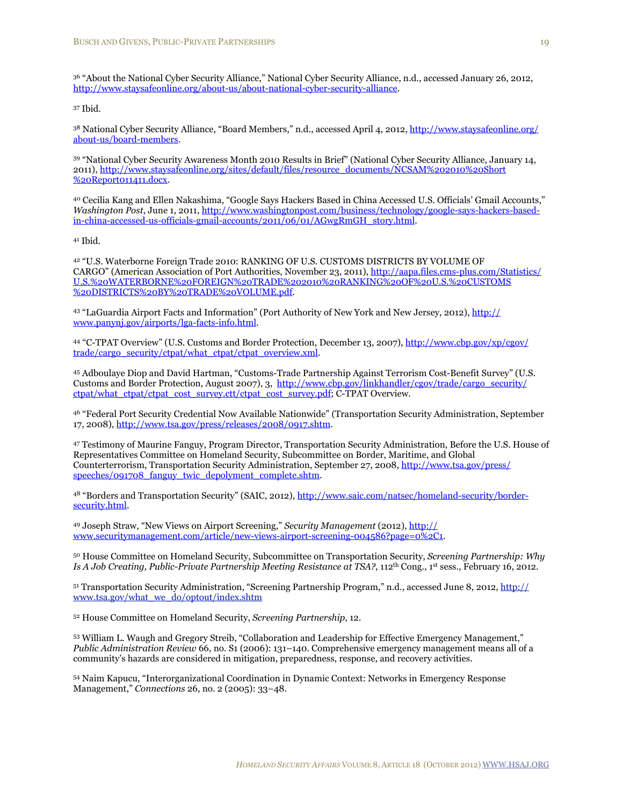<span id="page-18-0"></span>36 "About the National Cyber Security Alliance," National Cyber Security Alliance, n.d., accessed January 26, 2012, [http://www.staysafeonline.org/about-us/about-national-cyber-security-alliance.](http://www.staysafeonline.org/about-us/about-national-cyber-security-alliance)

<span id="page-18-1"></span>37 Ibid.

<span id="page-18-2"></span>38 National Cyber Security Alliance, "Board Members," n.d., accessed April 4, 2012, [http://www.staysafeonline.org/](http://www.staysafeonline.org/about-us/board-members) [about-us/board-members](http://www.staysafeonline.org/about-us/board-members).

<span id="page-18-3"></span>39 "National Cyber Security Awareness Month 2010 Results in Brief" (National Cyber Security Alliance, January 14, 2011), [http://www.staysafeonline.org/sites/default/files/resource\\_documents/NCSAM%202010%20Short](http://www.staysafeonline.org/sites/default/files/resource_documents/NCSAM%202010%20Short%20Report011411.docx) [%20Report011411.docx.](http://www.staysafeonline.org/sites/default/files/resource_documents/NCSAM%202010%20Short%20Report011411.docx)

<span id="page-18-4"></span>40 Cecilia Kang and Ellen Nakashima, "Google Says Hackers Based in China Accessed U.S. Officials' Gmail Accounts," *Washington Post*, June 1, 2011, [http://www.washingtonpost.com/business/technology/google-says-hackers-based](http://www.washingtonpost.com/business/technology/google-says-hackers-based-in-china-accessed-us-officials-gmail-accounts/2011/06/01/AGwgRmGH_story.html)[in-china-accessed-us-officials-gmail-accounts/2011/06/01/AGwgRmGH\\_story.html.](http://www.washingtonpost.com/business/technology/google-says-hackers-based-in-china-accessed-us-officials-gmail-accounts/2011/06/01/AGwgRmGH_story.html)

<span id="page-18-5"></span>41 Ibid.

<span id="page-18-6"></span>42 "U.S. Waterborne Foreign Trade 2010: RANKING OF U.S. CUSTOMS DISTRICTS BY VOLUME OF CARGO" (American Association of Port Authorities, November 23, 2011), [http://aapa.files.cms-plus.com/Statistics/](http://aapa.files.cms-plus.com/Statistics/U.S.%20WATERBORNE%20FOREIGN%20TRADE%202010%20RANKING%20OF%20U.S.%20CUSTOMS%20DISTRICTS%20BY%20TRADE%20VOLUME.pdf) [U.S.%20WATERBORNE%20FOREIGN%20TRADE%202010%20RANKING%20OF%20U.S.%20CUSTOMS](http://aapa.files.cms-plus.com/Statistics/U.S.%20WATERBORNE%20FOREIGN%20TRADE%202010%20RANKING%20OF%20U.S.%20CUSTOMS%20DISTRICTS%20BY%20TRADE%20VOLUME.pdf) [%20DISTRICTS%20BY%20TRADE%20VOLUME.pdf](http://aapa.files.cms-plus.com/Statistics/U.S.%20WATERBORNE%20FOREIGN%20TRADE%202010%20RANKING%20OF%20U.S.%20CUSTOMS%20DISTRICTS%20BY%20TRADE%20VOLUME.pdf).

<span id="page-18-7"></span>43 "LaGuardia Airport Facts and Information" (Port Authority of New York and New Jersey, 2012), [http://](http://www.panynj.gov/airports/lga-facts-info.html) [www.panynj.gov/airports/lga-facts-info.html.](http://www.panynj.gov/airports/lga-facts-info.html)

<span id="page-18-8"></span>44 "C-TPAT Overview" (U.S. Customs and Border Protection, December 13, 2007), [http://www.cbp.gov/xp/cgov/](http://www.cbp.gov/xp/cgov/trade/cargo_security/ctpat/what_ctpat/ctpat_overview.xml) [trade/cargo\\_security/ctpat/what\\_ctpat/ctpat\\_overview.xml.](http://www.cbp.gov/xp/cgov/trade/cargo_security/ctpat/what_ctpat/ctpat_overview.xml)

<span id="page-18-9"></span>45 Adboulaye Diop and David Hartman, "Customs-Trade Partnership Against Terrorism Cost-Benefit Survey" (U.S. Customs and Border Protection, August 2007), 3, [http://www.cbp.gov/linkhandler/cgov/trade/cargo\\_security/](http://www.cbp.gov/linkhandler/cgov/trade/cargo_security/ctpat/what_ctpat/ctpat_cost_survey.ctt/ctpat_cost_survey.pdf) [ctpat/what\\_ctpat/ctpat\\_cost\\_survey.ctt/ctpat\\_cost\\_survey.pdf](http://www.cbp.gov/linkhandler/cgov/trade/cargo_security/ctpat/what_ctpat/ctpat_cost_survey.ctt/ctpat_cost_survey.pdf); C-TPAT Overview.

<span id="page-18-10"></span>46 "Federal Port Security Credential Now Available Nationwide" (Transportation Security Administration, September 17, 2008), [http://www.tsa.gov/press/releases/2008/0917.shtm.](http://www.tsa.gov/press/releases/2008/0917.shtm)

<span id="page-18-11"></span>47 Testimony of Maurine Fanguy, Program Director, Transportation Security Administration, Before the U.S. House of Representatives Committee on Homeland Security, Subcommittee on Border, Maritime, and Global Counterterrorism, Transportation Security Administration, September 27, 2008, [http://www.tsa.gov/press/](http://www.tsa.gov/press/speeches/091708_fanguy_twic_depolyment_complete.shtm) [speeches/091708\\_fanguy\\_twic\\_depolyment\\_complete.shtm](http://www.tsa.gov/press/speeches/091708_fanguy_twic_depolyment_complete.shtm).

<span id="page-18-12"></span>48 "Borders and Transportation Security" (SAIC, 2012), [http://www.saic.com/natsec/homeland-security/border](http://www.saic.com/natsec/homeland-security/border-security.html)[security.html.](http://www.saic.com/natsec/homeland-security/border-security.html)

<span id="page-18-13"></span>49 Joseph Straw, "New Views on Airport Screening," *Security Management* (2012), [http://](http://www.securitymanagement.com/article/new-views-airport-screening-004586?page=0%2C1) [www.securitymanagement.com/article/new-views-airport-screening-004586?page=0%2C1.](http://www.securitymanagement.com/article/new-views-airport-screening-004586?page=0%2C1)

<span id="page-18-14"></span>50 House Committee on Homeland Security, Subcommittee on Transportation Security, *Screening Partnership: Why Is A Job Creating, Public-Private Partnership Meeting Resistance at TSA?*, 112<sup>th</sup> Cong., 1<sup>st</sup> sess., February 16, 2012.

<span id="page-18-15"></span>51 Transportation Security Administration, "Screening Partnership Program," n.d., accessed June 8, 2012, [http://](http://www.tsa.gov/what_we_do/optout/index.shtm) [www.tsa.gov/what\\_we\\_do/optout/index.shtm](http://www.tsa.gov/what_we_do/optout/index.shtm)

<span id="page-18-16"></span>52 House Committee on Homeland Security, *Screening Partnership*, 12.

<span id="page-18-17"></span>53 William L. Waugh and Gregory Streib, "Collaboration and Leadership for Effective Emergency Management," *Public Administration Review* 66, no. S1 (2006): 131–140. Comprehensive emergency management means all of a community's hazards are considered in mitigation, preparedness, response, and recovery activities.

<span id="page-18-18"></span>54 Naim Kapucu, "Interorganizational Coordination in Dynamic Context: Networks in Emergency Response Management," *Connections* 26, no. 2 (2005): 33–48.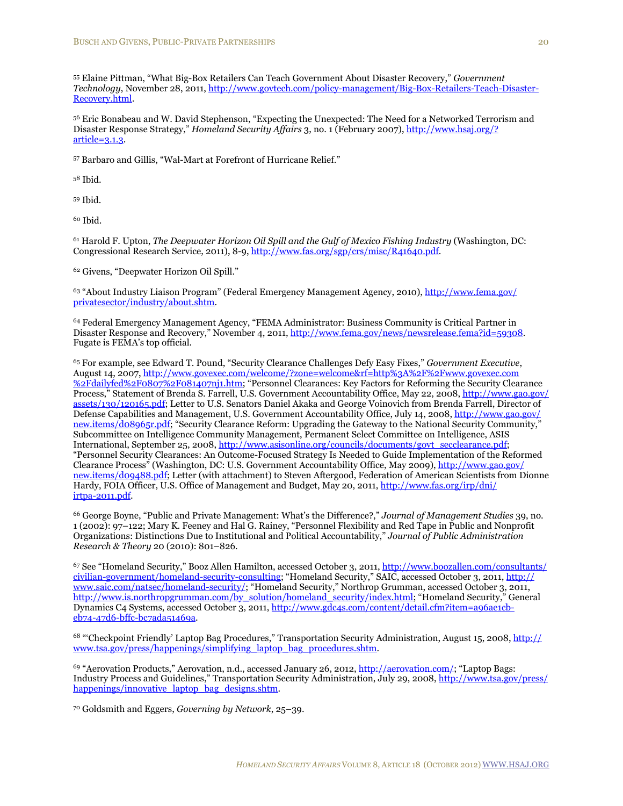<span id="page-19-0"></span>55 Elaine Pittman, "What Big-Box Retailers Can Teach Government About Disaster Recovery," *Government Technology*, November 28, 2011, [http://www.govtech.com/policy-management/Big-Box-Retailers-Teach-Disaster-](http://www.govtech.com/policy-management/Big-Box-Retailers-Teach-Disaster-Recovery.html)[Recovery.html.](http://www.govtech.com/policy-management/Big-Box-Retailers-Teach-Disaster-Recovery.html)

<span id="page-19-1"></span>56 Eric Bonabeau and W. David Stephenson, "Expecting the Unexpected: The Need for a Networked Terrorism and Disaster Response Strategy," *Homeland Security Affairs* 3, no. 1 (February 2007), [http://www.hsaj.org/?](http://www.hsaj.org/?article=3.1.3) [article=3.1.3](http://www.hsaj.org/?article=3.1.3).

<span id="page-19-2"></span>57 Barbaro and Gillis, "Wal-Mart at Forefront of Hurricane Relief."

<span id="page-19-3"></span>58 Ibid.

<span id="page-19-4"></span>59 Ibid.

<span id="page-19-5"></span>60 Ibid.

<span id="page-19-6"></span>61 Harold F. Upton, *The Deepwater Horizon Oil Spill and the Gulf of Mexico Fishing Industry* (Washington, DC: Congressional Research Service, 2011), 8-9, <http://www.fas.org/sgp/crs/misc/R41640.pdf>.

<span id="page-19-7"></span>62 Givens, "Deepwater Horizon Oil Spill."

<span id="page-19-8"></span>63 "About Industry Liaison Program" (Federal Emergency Management Agency, 2010), [http://www.fema.gov/](http://www.fema.gov/privatesector/industry/about.shtm) [privatesector/industry/about.shtm](http://www.fema.gov/privatesector/industry/about.shtm).

<span id="page-19-9"></span>64 Federal Emergency Management Agency, "FEMA Administrator: Business Community is Critical Partner in Disaster Response and Recovery," November 4, 2011, <http://www.fema.gov/news/newsrelease.fema?id=59308>. Fugate is FEMA's top official.

<span id="page-19-10"></span>65 For example, see Edward T. Pound, "Security Clearance Challenges Defy Easy Fixes," *Government Executive*, August 14, 2007, [http://www.govexec.com/welcome/?zone=welcome&rf=http%3A%2F%2Fwww.govexec.com](http://www.govexec.com/welcome/?zone=welcome&rf=http%3A%2F%2Fwww.govexec.com%2Fdailyfed%2F0807%2F081407nj1.htm) [%2Fdailyfed%2F0807%2F081407nj1.htm](http://www.govexec.com/welcome/?zone=welcome&rf=http%3A%2F%2Fwww.govexec.com%2Fdailyfed%2F0807%2F081407nj1.htm); "Personnel Clearances: Key Factors for Reforming the Security Clearance Process," Statement of Brenda S. Farrell, U.S. Government Accountability Office, May 22, 2008, [http://www.gao.gov/](http://www.gao.gov/assets/130/120165.pdf) [assets/130/120165.pdf](http://www.gao.gov/assets/130/120165.pdf); Letter to U.S. Senators Daniel Akaka and George Voinovich from Brenda Farrell, Director of Defense Capabilities and Management, U.S. Government Accountability Office, July 14, 2008, [http://www.gao.gov/](http://www.gao.gov/new.items/d08965r.pdf) [new.items/d08965r.pdf](http://www.gao.gov/new.items/d08965r.pdf); "Security Clearance Reform: Upgrading the Gateway to the National Security Community," Subcommittee on Intelligence Community Management, Permanent Select Committee on Intelligence, ASIS International, September 25, 2008, [http://www.asisonline.org/councils/documents/govt\\_secclearance.pdf](http://www.asisonline.org/councils/documents/govt_secclearance.pdf); "Personnel Security Clearances: An Outcome-Focused Strategy Is Needed to Guide Implementation of the Reformed Clearance Process" (Washington, DC: U.S. Government Accountability Office, May 2009), [http://www.gao.gov/](http://www.gao.gov/new.items/d09488.pdf) [new.items/d09488.pdf](http://www.gao.gov/new.items/d09488.pdf); Letter (with attachment) to Steven Aftergood, Federation of American Scientists from Dionne Hardy, FOIA Officer, U.S. Office of Management and Budget, May 20, 2011, [http://www.fas.org/irp/dni/](http://www.fas.org/irp/dni/irtpa-2011.pdf) [irtpa-2011.pdf](http://www.fas.org/irp/dni/irtpa-2011.pdf).

<span id="page-19-11"></span>66 George Boyne, "Public and Private Management: What's the Difference?," *Journal of Management Studies* 39, no. 1 (2002): 97–122; Mary K. Feeney and Hal G. Rainey, "Personnel Flexibility and Red Tape in Public and Nonprofit Organizations: Distinctions Due to Institutional and Political Accountability," *Journal of Public Administration Research & Theory* 20 (2010): 801–826.

<span id="page-19-12"></span>67 See "Homeland Security," Booz Allen Hamilton, accessed October 3, 2011, [http://www.boozallen.com/consultants/](http://www.boozallen.com/consultants/civilian-government/homeland-security-consulting) [civilian-government/homeland-security-consulting](http://www.boozallen.com/consultants/civilian-government/homeland-security-consulting); "Homeland Security," SAIC, accessed October 3, 2011, [http://](http://www.saic.com/natsec/homeland-security/) [www.saic.com/natsec/homeland-security/](http://www.saic.com/natsec/homeland-security/); "Homeland Security," Northrop Grumman, accessed October 3, 2011, [http://www.is.northropgrumman.com/by\\_solution/homeland\\_security/index.html](http://www.is.northropgrumman.com/by_solution/homeland_security/index.html); "Homeland Security," General Dynamics C4 Systems, accessed October 3, 2011, [http://www.gdc4s.com/content/detail.cfm?item=a96ae1cb](http://www.gdc4s.com/content/detail.cfm?item=a96ae1cb-eb74-47d6-bffc-bc7ada51469a)[eb74-47d6-bffc-bc7ada51469a](http://www.gdc4s.com/content/detail.cfm?item=a96ae1cb-eb74-47d6-bffc-bc7ada51469a).

<span id="page-19-13"></span>68 "Checkpoint Friendly' Laptop Bag Procedures," Transportation Security Administration, August 15, 2008, [http://](http://www.tsa.gov/press/happenings/simplifying_laptop_bag_procedures.shtm) [www.tsa.gov/press/happenings/simplifying\\_laptop\\_bag\\_procedures.shtm.](http://www.tsa.gov/press/happenings/simplifying_laptop_bag_procedures.shtm)

<span id="page-19-14"></span>69 "Aerovation Products," Aerovation, n.d., accessed January 26, 2012, <http://aerovation.com/>; "Laptop Bags: Industry Process and Guidelines," Transportation Security Administration, July 29, 2008, [http://www.tsa.gov/press/](http://www.tsa.gov/press/happenings/innovative_laptop_bag_designs.shtm) [happenings/innovative\\_laptop\\_bag\\_designs.shtm](http://www.tsa.gov/press/happenings/innovative_laptop_bag_designs.shtm).

<span id="page-19-15"></span>70 Goldsmith and Eggers, *Governing by Network*, 25–39.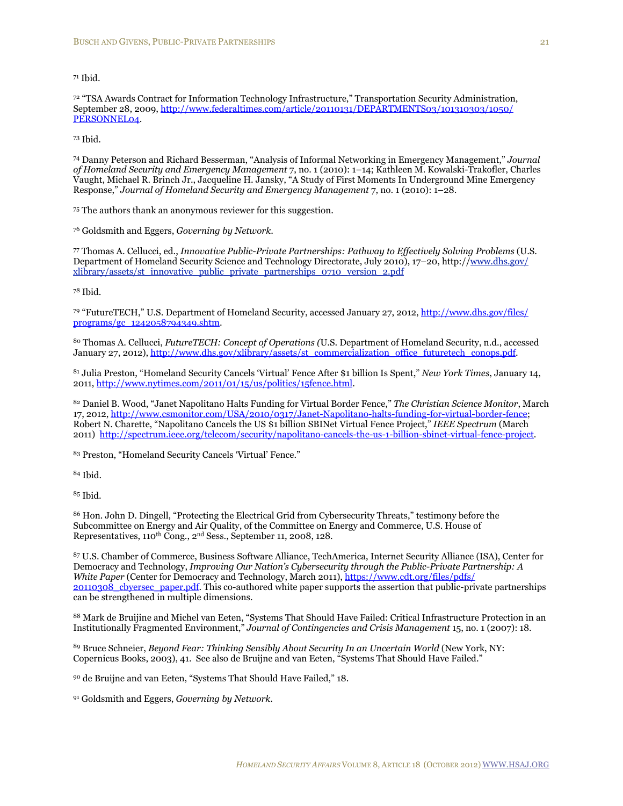<span id="page-20-0"></span>71 Ibid.

<span id="page-20-1"></span>72 "TSA Awards Contract for Information Technology Infrastructure," Transportation Security Administration, September 28, 2009, [http://www.federaltimes.com/article/20110131/DEPARTMENTS03/101310303/1050/](http://www.federaltimes.com/article/20110131/DEPARTMENTS03/101310303/1050/PERSONNEL04) [PERSONNEL04](http://www.federaltimes.com/article/20110131/DEPARTMENTS03/101310303/1050/PERSONNEL04).

<span id="page-20-2"></span>73 Ibid.

<span id="page-20-3"></span>74 Danny Peterson and Richard Besserman, "Analysis of Informal Networking in Emergency Management," *Journal of Homeland Security and Emergency Management* 7, no. 1 (2010): 1–14; Kathleen M. Kowalski-Trakofler, Charles Vaught, Michael R. Brinch Jr., Jacqueline H. Jansky, "A Study of First Moments In Underground Mine Emergency Response," *Journal of Homeland Security and Emergency Management* 7, no. 1 (2010): 1–28.

<span id="page-20-4"></span>75 The authors thank an anonymous reviewer for this suggestion.

<span id="page-20-5"></span>76 Goldsmith and Eggers, *Governing by Network*.

<span id="page-20-6"></span>77 Thomas A. Cellucci, ed., *Innovative Public-Private Partnerships: Pathway to Effectively Solving Problems* (U.S. Department of Homeland Security Science and Technology Directorate, July 2010), 17–20, http:/[/www.dhs.gov/](http://www.dhs.gov/xlibrary/assets/st_innovative_public_private_partnerships_0710_version_2.pdf) [xlibrary/assets/st\\_innovative\\_public\\_private\\_partnerships\\_0710\\_version\\_2.pdf](http://www.dhs.gov/xlibrary/assets/st_innovative_public_private_partnerships_0710_version_2.pdf)

<span id="page-20-7"></span> $^{\rm 78}$  Ibid.

<span id="page-20-8"></span>79 "FutureTECH," U.S. Department of Homeland Security, accessed January 27, 2012, [http://www.dhs.gov/files/](http://www.dhs.gov/files/programs/gc_1242058794349.shtm) [programs/gc\\_1242058794349.shtm](http://www.dhs.gov/files/programs/gc_1242058794349.shtm).

<span id="page-20-9"></span>80 Thomas A. Cellucci, *FutureTECH: Concept of Operations (*U.S. Department of Homeland Security, n.d., accessed January 27, 2012), [http://www.dhs.gov/xlibrary/assets/st\\_commercialization\\_office\\_futuretech\\_conops.pdf](http://www.dhs.gov/xlibrary/assets/st_commercialization_office_futuretech_conops.pdf).

<span id="page-20-10"></span>81 Julia Preston, "Homeland Security Cancels 'Virtual' Fence After \$1 billion Is Spent," *New York Times*, January 14, 2011, [http://www.nytimes.com/2011/01/15/us/politics/15fence.html.](http://www.nytimes.com/2011/01/15/us/politics/15fence.html)

<span id="page-20-11"></span>82 Daniel B. Wood, "Janet Napolitano Halts Funding for Virtual Border Fence," *The Christian Science Monitor*, March 17, 2012,<http://www.csmonitor.com/USA/2010/0317/Janet-Napolitano-halts-funding-for-virtual-border-fence>; Robert N. Charette, "Napolitano Cancels the US \$1 billion SBINet Virtual Fence Project," *IEEE Spectrum* (March 2011) [http://spectrum.ieee.org/telecom/security/napolitano-cancels-the-us-1-billion-sbinet-virtual-fence-project.](http://spectrum.ieee.org/telecom/security/napolitano-cancels-the-us-1-billion-sbinet-virtual-fence-project)

<span id="page-20-12"></span>83 Preston, "Homeland Security Cancels 'Virtual' Fence."

<span id="page-20-13"></span>84 Ibid.

<span id="page-20-14"></span> $85$  Ibid.

<span id="page-20-15"></span>86 Hon. John D. Dingell, "Protecting the Electrical Grid from Cybersecurity Threats," testimony before the Subcommittee on Energy and Air Quality, of the Committee on Energy and Commerce, U.S. House of Representatives, 110th Cong., 2nd Sess., September 11, 2008, 128.

<span id="page-20-16"></span><sup>87</sup> U.S. Chamber of Commerce, Business Software Alliance, TechAmerica, Internet Security Alliance (ISA), Center for Democracy and Technology, *Improving Our Nation's Cybersecurity through the Public-Private Partnership: A White Paper* (Center for Democracy and Technology, March 2011), [https://www.cdt.org/files/pdfs/](https://www.cdt.org/files/pdfs/20110308_cbyersec_paper.pdf) [20110308\\_cbyersec\\_paper.pdf.](https://www.cdt.org/files/pdfs/20110308_cbyersec_paper.pdf) This co-authored white paper supports the assertion that public-private partnerships can be strengthened in multiple dimensions.

<span id="page-20-17"></span>88 Mark de Bruijine and Michel van Eeten, "Systems That Should Have Failed: Critical Infrastructure Protection in an Institutionally Fragmented Environment," *Journal of Contingencies and Crisis Management* 15, no. 1 (2007): 18.

<span id="page-20-18"></span>89 Bruce Schneier, *Beyond Fear: Thinking Sensibly About Security In an Uncertain World* (New York, NY: Copernicus Books, 2003), 41. See also de Bruijne and van Eeten, "Systems That Should Have Failed."

<span id="page-20-19"></span>90 de Bruijne and van Eeten, "Systems That Should Have Failed," 18.

<span id="page-20-20"></span>91 Goldsmith and Eggers, *Governing by Network*.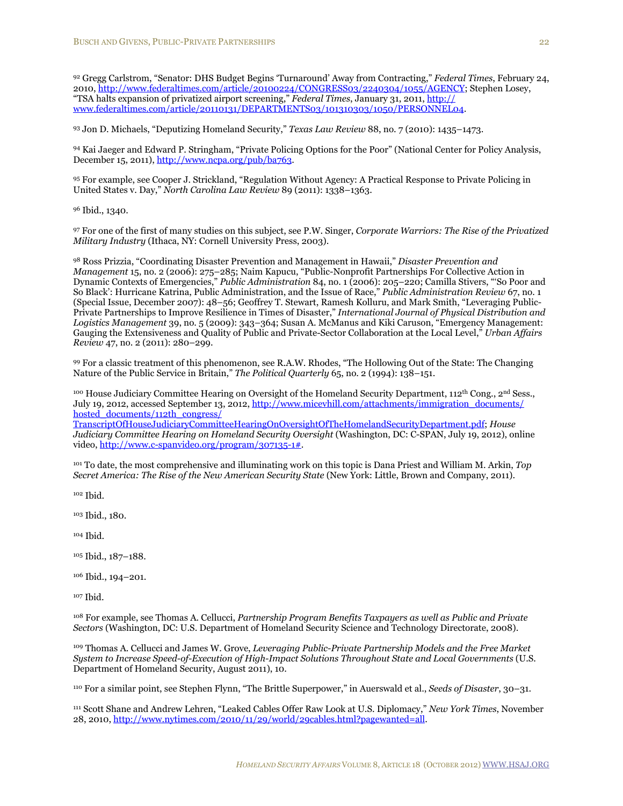<span id="page-21-0"></span>92 Gregg Carlstrom, "Senator: DHS Budget Begins 'Turnaround' Away from Contracting," *Federal Times*, February 24, 2010, [http://www.federaltimes.com/article/20100224/CONGRESS03/2240304/1055/AGENCY;](http://www.federaltimes.com/article/20100224/CONGRESS03/2240304/1055/AGENCY) Stephen Losey, "TSA halts expansion of privatized airport screening," *Federal Times*, January 31, 2011, [http://](http://www.federaltimes.com/article/20110131/DEPARTMENTS03/101310303/1050/PERSONNEL04) [www.federaltimes.com/article/20110131/DEPARTMENTS03/101310303/1050/PERSONNEL04](http://www.federaltimes.com/article/20110131/DEPARTMENTS03/101310303/1050/PERSONNEL04).

<span id="page-21-1"></span>93 Jon D. Michaels, "Deputizing Homeland Security," *Texas Law Review* 88, no. 7 (2010): 1435–1473.

<span id="page-21-2"></span>94 Kai Jaeger and Edward P. Stringham, "Private Policing Options for the Poor" (National Center for Policy Analysis, December 15, 2011), [http://www.ncpa.org/pub/ba763.](http://www.ncpa.org/pub/ba763)

<span id="page-21-3"></span>95 For example, see Cooper J. Strickland, "Regulation Without Agency: A Practical Response to Private Policing in United States v. Day," *North Carolina Law Review* 89 (2011): 1338–1363.

<span id="page-21-4"></span>96 Ibid., 1340.

<span id="page-21-5"></span>97 For one of the first of many studies on this subject, see P.W. Singer, *Corporate Warriors: The Rise of the Privatized Military Industry* (Ithaca, NY: Cornell University Press, 2003).

<span id="page-21-6"></span>98 Ross Prizzia, "Coordinating Disaster Prevention and Management in Hawaii," *Disaster Prevention and Management* 15, no. 2 (2006): 275–285; Naim Kapucu, "Public-Nonprofit Partnerships For Collective Action in Dynamic Contexts of Emergencies," *Public Administration* 84, no. 1 (2006): 205–220; Camilla Stivers, "'So Poor and So Black': Hurricane Katrina, Public Administration, and the Issue of Race," *Public Administration Review* 67, no. 1 (Special Issue, December 2007): 48–56; Geoffrey T. Stewart, Ramesh Kolluru, and Mark Smith, "Leveraging Public-Private Partnerships to Improve Resilience in Times of Disaster," *International Journal of Physical Distribution and Logistics Management* 39, no. 5 (2009): 343–364; Susan A. McManus and Kiki Caruson, "Emergency Management: Gauging the Extensiveness and Quality of Public and Private-Sector Collaboration at the Local Level," *Urban Affairs Review* 47, no. 2 (2011): 280–299.

<span id="page-21-7"></span>99 For a classic treatment of this phenomenon, see R.A.W. Rhodes, "The Hollowing Out of the State: The Changing Nature of the Public Service in Britain," *The Political Quarterly* 65, no. 2 (1994): 138–151.

<span id="page-21-8"></span><sup>100</sup> House Judiciary Committee Hearing on Oversight of the Homeland Security Department, 112<sup>th</sup> Cong., 2<sup>nd</sup> Sess., July 19, 2012, accessed September 13, 2012, [http://www.micevhill.com/attachments/immigration\\_documents/](http://www.micevhill.com/attachments/immigration_documents/hosted_documents/112th_congress/TranscriptOfHouseJudiciaryCommitteeHearingOnOversightOfTheHomelandSecurityDepartment.pdf) [hosted\\_documents/112th\\_congress/](http://www.micevhill.com/attachments/immigration_documents/hosted_documents/112th_congress/TranscriptOfHouseJudiciaryCommitteeHearingOnOversightOfTheHomelandSecurityDepartment.pdf)

[TranscriptOfHouseJudiciaryCommitteeHearingOnOversightOfTheHomelandSecurityDepartment.pdf](http://www.micevhill.com/attachments/immigration_documents/hosted_documents/112th_congress/TranscriptOfHouseJudiciaryCommitteeHearingOnOversightOfTheHomelandSecurityDepartment.pdf); *House Judiciary Committee Hearing on Homeland Security Oversight* (Washington, DC: C-SPAN, July 19, 2012), online video, [http://www.c-spanvideo.org/program/307135-1#](http://www.c-spanvideo.org/program/307135-1).

<span id="page-21-9"></span>101 To date, the most comprehensive and illuminating work on this topic is Dana Priest and William M. Arkin, *Top Secret America: The Rise of the New American Security State* (New York: Little, Brown and Company, 2011).

<span id="page-21-10"></span> $102$  Ibid.

<span id="page-21-11"></span>103 Ibid., 180.

<span id="page-21-12"></span>104 Ibid.

<span id="page-21-13"></span>105 Ibid., 187–188.

<span id="page-21-14"></span>106 Ibid., 194–201.

<span id="page-21-15"></span>107 Ibid.

<span id="page-21-16"></span>108 For example, see Thomas A. Cellucci, *Partnership Program Benefits Taxpayers as well as Public and Private Sectors* (Washington, DC: U.S. Department of Homeland Security Science and Technology Directorate, 2008).

<span id="page-21-17"></span>109 Thomas A. Cellucci and James W. Grove, *Leveraging Public-Private Partnership Models and the Free Market System to Increase Speed-of-Execution of High-Impact Solutions Throughout State and Local Governments* (U.S. Department of Homeland Security, August 2011), 10.

<span id="page-21-18"></span>110 For a similar point, see Stephen Flynn, "The Brittle Superpower," in Auerswald et al., *Seeds of Disaster*, 30–31.

<span id="page-21-19"></span>111 Scott Shane and Andrew Lehren, "Leaked Cables Offer Raw Look at U.S. Diplomacy," *New York Times*, November 28, 2010, [http://www.nytimes.com/2010/11/29/world/29cables.html?pagewanted=all.](http://www.nytimes.com/2010/11/29/world/29cables.html?pagewanted=all)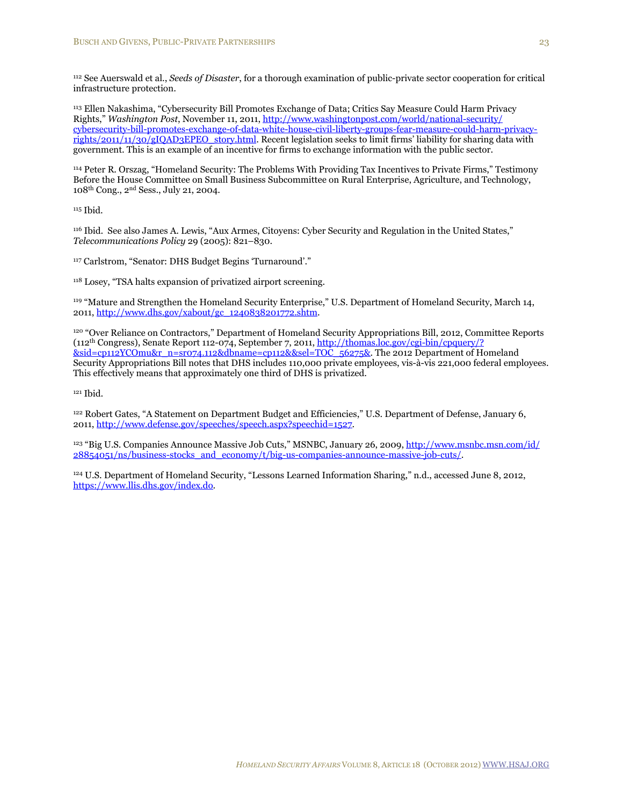<span id="page-22-0"></span>112 See Auerswald et al., *Seeds of Disaster*, for a thorough examination of public-private sector cooperation for critical infrastructure protection.

<span id="page-22-1"></span>113 Ellen Nakashima, "Cybersecurity Bill Promotes Exchange of Data; Critics Say Measure Could Harm Privacy Rights," *Washington Post*, November 11, 2011, [http://www.washingtonpost.com/world/national-security/](http://www.washingtonpost.com/world/national-security/cybersecurity-bill-promotes-exchange-of-data-white-house-civil-liberty-groups-fear-measure-could-harm-privacy-rights/2011/11/30/gIQAD3EPEO_story.html) [cybersecurity-bill-promotes-exchange-of-data-white-house-civil-liberty-groups-fear-measure-could-harm-privacy-](http://www.washingtonpost.com/world/national-security/cybersecurity-bill-promotes-exchange-of-data-white-house-civil-liberty-groups-fear-measure-could-harm-privacy-rights/2011/11/30/gIQAD3EPEO_story.html) $\frac{rightharpoonup$ story.html. Recent legislation seeks to limit firms' liability for sharing data with government. This is an example of an incentive for firms to exchange information with the public sector.

<span id="page-22-2"></span>114 Peter R. Orszag, "Homeland Security: The Problems With Providing Tax Incentives to Private Firms," Testimony Before the House Committee on Small Business Subcommittee on Rural Enterprise, Agriculture, and Technology, 108th Cong., 2nd Sess., July 21, 2004.

<span id="page-22-3"></span>115 Ibid.

<span id="page-22-4"></span>116 Ibid. See also James A. Lewis, "Aux Armes, Citoyens: Cyber Security and Regulation in the United States," *Telecommunications Policy* 29 (2005): 821–830.

<span id="page-22-5"></span>117 Carlstrom, "Senator: DHS Budget Begins 'Turnaround'."

<span id="page-22-6"></span>118 Losey, "TSA halts expansion of privatized airport screening.

<span id="page-22-7"></span>119 "Mature and Strengthen the Homeland Security Enterprise," U.S. Department of Homeland Security, March 14, 2011, [http://www.dhs.gov/xabout/gc\\_1240838201772.shtm](http://www.dhs.gov/xabout/gc_1240838201772.shtm).

<span id="page-22-8"></span>120 "Over Reliance on Contractors," Department of Homeland Security Appropriations Bill, 2012, Committee Reports (112th Congress), Senate Report 112-074, September 7, 2011, [http://thomas.loc.gov/cgi-bin/cpquery/?](http://thomas.loc.gov/cgi-bin/cpquery/?&sid=cp112YCOmu&r_n=sr074.112&dbname=cp112&&sel=TOC_56275&) [&sid=cp112YCOmu&r\\_n=sr074.112&dbname=cp112&&sel=TOC\\_56275&](http://thomas.loc.gov/cgi-bin/cpquery/?&sid=cp112YCOmu&r_n=sr074.112&dbname=cp112&&sel=TOC_56275&). The 2012 Department of Homeland Security Appropriations Bill notes that DHS includes 110,000 private employees, vis-à-vis 221,000 federal employees. This effectively means that approximately one third of DHS is privatized.

<span id="page-22-9"></span>121 Ibid.

<span id="page-22-10"></span>122 Robert Gates, "A Statement on Department Budget and Efficiencies," U.S. Department of Defense, January 6, 2011, <http://www.defense.gov/speeches/speech.aspx?speechid=1527>.

<span id="page-22-11"></span><sup>123</sup> "Big U.S. Companies Announce Massive Job Cuts," MSNBC, January 26, 2009, [http://www.msnbc.msn.com/id/](http://www.msnbc.msn.com/id/28854051/ns/business-stocks_and_economy/t/big-us-companies-announce-massive-job-cuts/) [28854051/ns/business-stocks\\_and\\_economy/t/big-us-companies-announce-massive-job-cuts/](http://www.msnbc.msn.com/id/28854051/ns/business-stocks_and_economy/t/big-us-companies-announce-massive-job-cuts/).

<span id="page-22-12"></span>124 U.S. Department of Homeland Security, "Lessons Learned Information Sharing," n.d., accessed June 8, 2012, <https://www.llis.dhs.gov/index.do>.